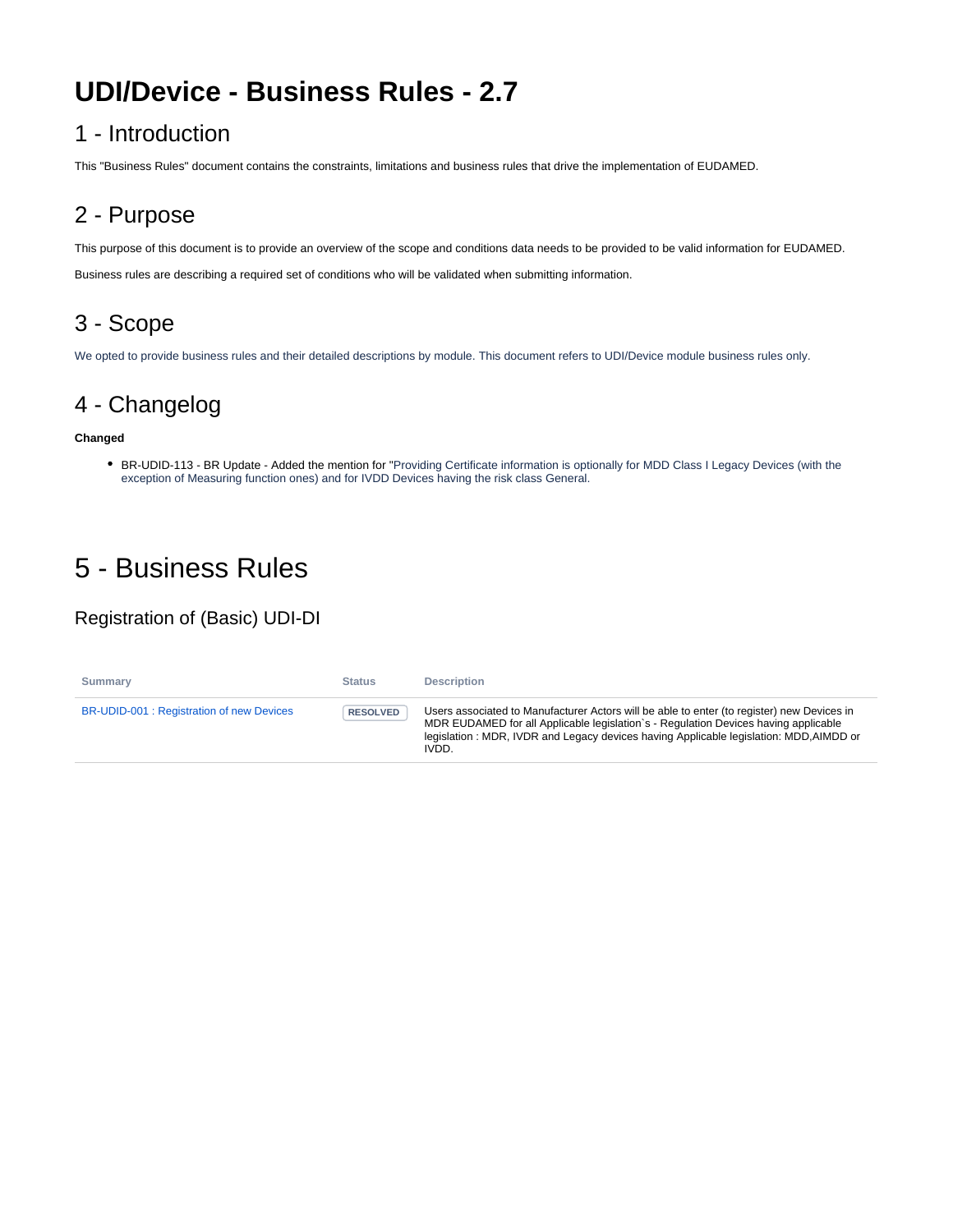# **UDI/Device - Business Rules - 2.7**

#### 1 - Introduction

This "Business Rules" document contains the constraints, limitations and business rules that drive the implementation of EUDAMED.

## 2 - Purpose

This purpose of this document is to provide an overview of the scope and conditions data needs to be provided to be valid information for EUDAMED.

Business rules are describing a required set of conditions who will be validated when submitting information.

#### 3 - Scope

We opted to provide business rules and their detailed descriptions by module. This document refers to UDI/Device module business rules only.

#### 4 - Changelog

#### **Changed**

BR-UDID-113 - BR Update - Added the mention for "Providing Certificate information is optionally for MDD Class I Legacy Devices (with the exception of Measuring function ones) and for IVDD Devices having the risk class General.

# 5 - Business Rules

#### Registration of (Basic) UDI-DI

| Summary                                   | <b>Status</b>   | <b>Description</b>                                                                                                                                                                                                                                                                   |
|-------------------------------------------|-----------------|--------------------------------------------------------------------------------------------------------------------------------------------------------------------------------------------------------------------------------------------------------------------------------------|
| BR-UDID-001 : Registration of new Devices | <b>RESOLVED</b> | Users associated to Manufacturer Actors will be able to enter (to register) new Devices in<br>MDR EUDAMED for all Applicable legislation s - Regulation Devices having applicable<br>legislation: MDR, IVDR and Legacy devices having Applicable legislation: MDD, AIMDD or<br>IVDD. |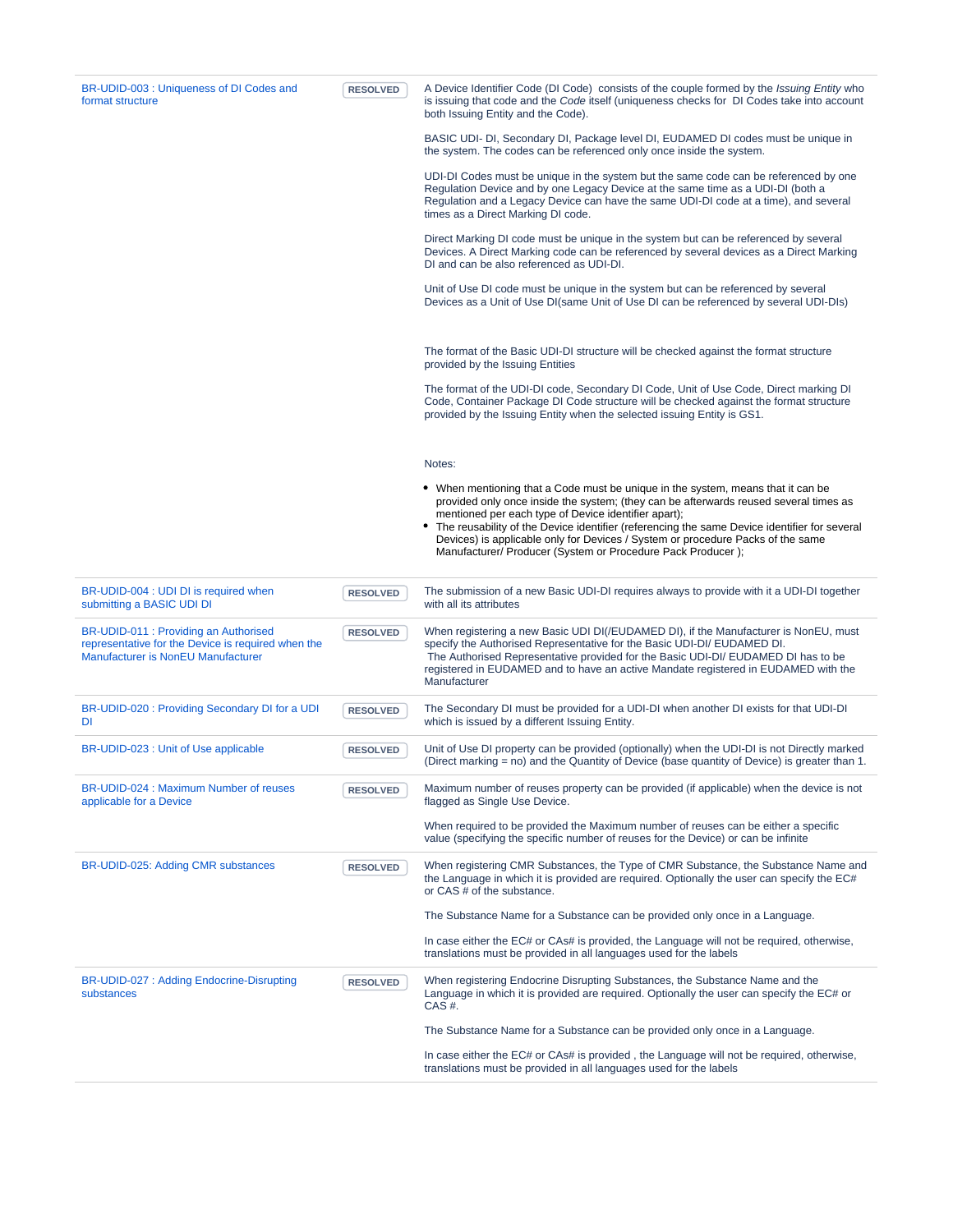| BR-UDID-003 : Uniqueness of DI Codes and<br>format structure                                                                      | <b>RESOLVED</b> | A Device Identifier Code (DI Code) consists of the couple formed by the Issuing Entity who<br>is issuing that code and the Code itself (uniqueness checks for DI Codes take into account<br>both Issuing Entity and the Code).                                                                                                                                                                                                                                                        |
|-----------------------------------------------------------------------------------------------------------------------------------|-----------------|---------------------------------------------------------------------------------------------------------------------------------------------------------------------------------------------------------------------------------------------------------------------------------------------------------------------------------------------------------------------------------------------------------------------------------------------------------------------------------------|
|                                                                                                                                   |                 | BASIC UDI- DI, Secondary DI, Package level DI, EUDAMED DI codes must be unique in<br>the system. The codes can be referenced only once inside the system.                                                                                                                                                                                                                                                                                                                             |
|                                                                                                                                   |                 | UDI-DI Codes must be unique in the system but the same code can be referenced by one<br>Regulation Device and by one Legacy Device at the same time as a UDI-DI (both a<br>Regulation and a Legacy Device can have the same UDI-DI code at a time), and several<br>times as a Direct Marking DI code.                                                                                                                                                                                 |
|                                                                                                                                   |                 | Direct Marking DI code must be unique in the system but can be referenced by several<br>Devices. A Direct Marking code can be referenced by several devices as a Direct Marking<br>DI and can be also referenced as UDI-DI.                                                                                                                                                                                                                                                           |
|                                                                                                                                   |                 | Unit of Use DI code must be unique in the system but can be referenced by several<br>Devices as a Unit of Use DI(same Unit of Use DI can be referenced by several UDI-DIs)                                                                                                                                                                                                                                                                                                            |
|                                                                                                                                   |                 | The format of the Basic UDI-DI structure will be checked against the format structure<br>provided by the Issuing Entities                                                                                                                                                                                                                                                                                                                                                             |
|                                                                                                                                   |                 | The format of the UDI-DI code, Secondary DI Code, Unit of Use Code, Direct marking DI<br>Code, Container Package DI Code structure will be checked against the format structure<br>provided by the Issuing Entity when the selected issuing Entity is GS1.                                                                                                                                                                                                                            |
|                                                                                                                                   |                 | Notes:                                                                                                                                                                                                                                                                                                                                                                                                                                                                                |
|                                                                                                                                   |                 | • When mentioning that a Code must be unique in the system, means that it can be<br>provided only once inside the system; (they can be afterwards reused several times as<br>mentioned per each type of Device identifier apart);<br>• The reusability of the Device identifier (referencing the same Device identifier for several<br>Devices) is applicable only for Devices / System or procedure Packs of the same<br>Manufacturer/ Producer (System or Procedure Pack Producer); |
| BR-UDID-004 : UDI DI is required when<br>submitting a BASIC UDI DI                                                                | <b>RESOLVED</b> | The submission of a new Basic UDI-DI requires always to provide with it a UDI-DI together<br>with all its attributes                                                                                                                                                                                                                                                                                                                                                                  |
| BR-UDID-011 : Providing an Authorised<br>representative for the Device is required when the<br>Manufacturer is NonEU Manufacturer | <b>RESOLVED</b> | When registering a new Basic UDI DI(/EUDAMED DI), if the Manufacturer is NonEU, must<br>specify the Authorised Representative for the Basic UDI-DI/ EUDAMED DI.<br>The Authorised Representative provided for the Basic UDI-DI/EUDAMED DI has to be<br>registered in EUDAMED and to have an active Mandate registered in EUDAMED with the<br>Manufacturer                                                                                                                             |
| BR-UDID-020 : Providing Secondary DI for a UDI<br>DI                                                                              | <b>RESOLVED</b> | The Secondary DI must be provided for a UDI-DI when another DI exists for that UDI-DI<br>which is issued by a different Issuing Entity.                                                                                                                                                                                                                                                                                                                                               |
| BR-UDID-023 : Unit of Use applicable                                                                                              | <b>RESOLVED</b> | Unit of Use DI property can be provided (optionally) when the UDI-DI is not Directly marked<br>(Direct marking = no) and the Quantity of Device (base quantity of Device) is greater than 1.                                                                                                                                                                                                                                                                                          |
| BR-UDID-024 : Maximum Number of reuses<br>applicable for a Device                                                                 | <b>RESOLVED</b> | Maximum number of reuses property can be provided (if applicable) when the device is not<br>flagged as Single Use Device.                                                                                                                                                                                                                                                                                                                                                             |
|                                                                                                                                   |                 | When required to be provided the Maximum number of reuses can be either a specific<br>value (specifying the specific number of reuses for the Device) or can be infinite                                                                                                                                                                                                                                                                                                              |
| BR-UDID-025: Adding CMR substances                                                                                                | <b>RESOLVED</b> | When registering CMR Substances, the Type of CMR Substance, the Substance Name and<br>the Language in which it is provided are required. Optionally the user can specify the EC#<br>or CAS # of the substance.                                                                                                                                                                                                                                                                        |
|                                                                                                                                   |                 | The Substance Name for a Substance can be provided only once in a Language.                                                                                                                                                                                                                                                                                                                                                                                                           |
|                                                                                                                                   |                 | In case either the EC# or CAs# is provided, the Language will not be required, otherwise,<br>translations must be provided in all languages used for the labels                                                                                                                                                                                                                                                                                                                       |
| BR-UDID-027: Adding Endocrine-Disrupting<br>substances                                                                            | <b>RESOLVED</b> | When registering Endocrine Disrupting Substances, the Substance Name and the<br>Language in which it is provided are required. Optionally the user can specify the EC# or<br>CAS #.                                                                                                                                                                                                                                                                                                   |
|                                                                                                                                   |                 | The Substance Name for a Substance can be provided only once in a Language.                                                                                                                                                                                                                                                                                                                                                                                                           |
|                                                                                                                                   |                 | In case either the EC# or CAs# is provided, the Language will not be required, otherwise,<br>translations must be provided in all languages used for the labels                                                                                                                                                                                                                                                                                                                       |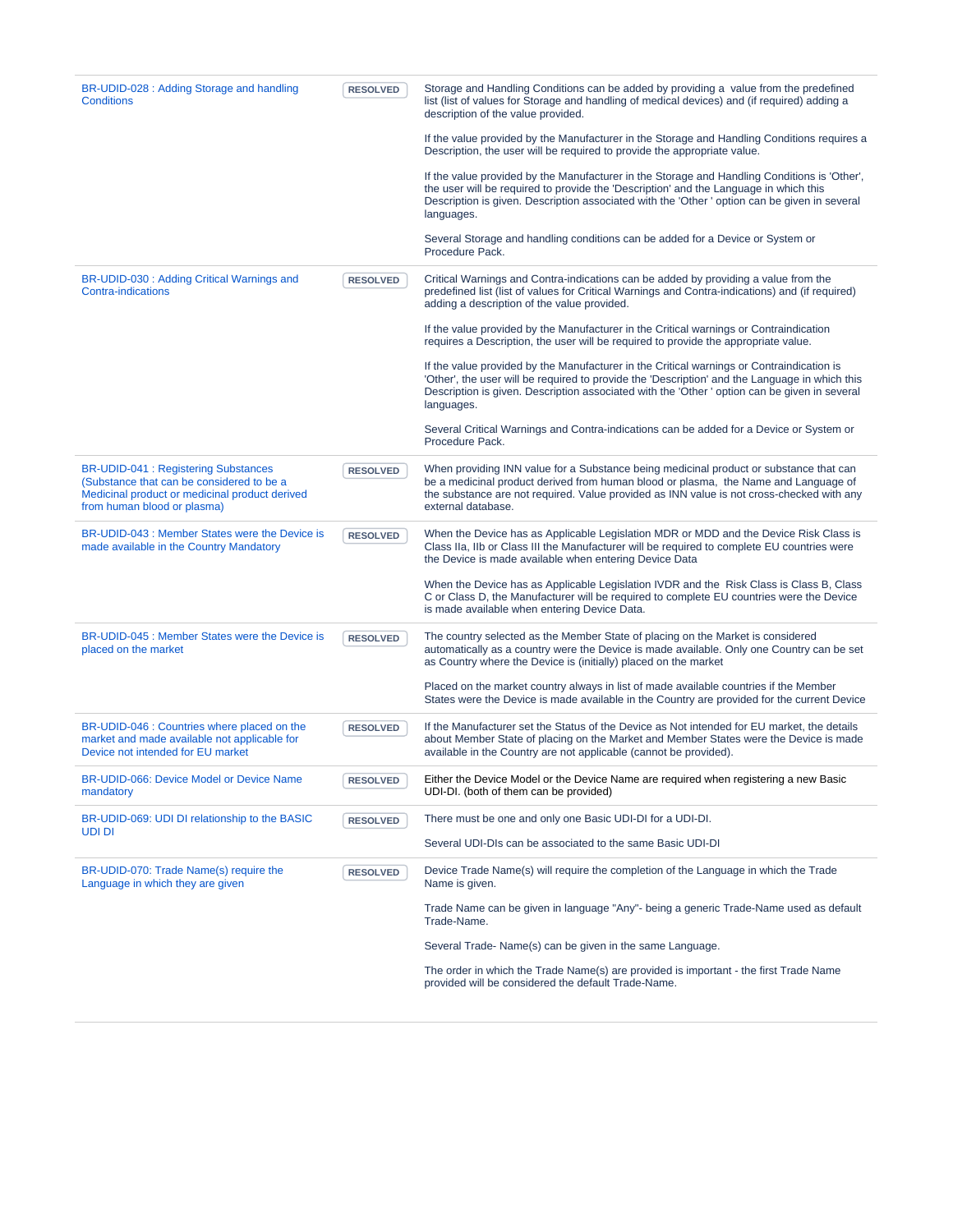| BR-UDID-028 : Adding Storage and handling<br><b>Conditions</b>                                                                                                           | <b>RESOLVED</b> | Storage and Handling Conditions can be added by providing a value from the predefined<br>list (list of values for Storage and handling of medical devices) and (if required) adding a<br>description of the value provided.                                                                               |
|--------------------------------------------------------------------------------------------------------------------------------------------------------------------------|-----------------|-----------------------------------------------------------------------------------------------------------------------------------------------------------------------------------------------------------------------------------------------------------------------------------------------------------|
|                                                                                                                                                                          |                 | If the value provided by the Manufacturer in the Storage and Handling Conditions requires a<br>Description, the user will be required to provide the appropriate value.                                                                                                                                   |
|                                                                                                                                                                          |                 | If the value provided by the Manufacturer in the Storage and Handling Conditions is 'Other',<br>the user will be required to provide the 'Description' and the Language in which this<br>Description is given. Description associated with the 'Other' option can be given in several<br>languages.       |
|                                                                                                                                                                          |                 | Several Storage and handling conditions can be added for a Device or System or<br>Procedure Pack.                                                                                                                                                                                                         |
| BR-UDID-030 : Adding Critical Warnings and<br><b>Contra-indications</b>                                                                                                  | <b>RESOLVED</b> | Critical Warnings and Contra-indications can be added by providing a value from the<br>predefined list (list of values for Critical Warnings and Contra-indications) and (if required)<br>adding a description of the value provided.                                                                     |
|                                                                                                                                                                          |                 | If the value provided by the Manufacturer in the Critical warnings or Contraindication<br>requires a Description, the user will be required to provide the appropriate value.                                                                                                                             |
|                                                                                                                                                                          |                 | If the value provided by the Manufacturer in the Critical warnings or Contraindication is<br>'Other', the user will be required to provide the 'Description' and the Language in which this<br>Description is given. Description associated with the 'Other' option can be given in several<br>languages. |
|                                                                                                                                                                          |                 | Several Critical Warnings and Contra-indications can be added for a Device or System or<br>Procedure Pack.                                                                                                                                                                                                |
| <b>BR-UDID-041: Registering Substances</b><br>(Substance that can be considered to be a<br>Medicinal product or medicinal product derived<br>from human blood or plasma) | <b>RESOLVED</b> | When providing INN value for a Substance being medicinal product or substance that can<br>be a medicinal product derived from human blood or plasma, the Name and Language of<br>the substance are not required. Value provided as INN value is not cross-checked with any<br>external database.          |
| BR-UDID-043 : Member States were the Device is<br>made available in the Country Mandatory                                                                                | <b>RESOLVED</b> | When the Device has as Applicable Legislation MDR or MDD and the Device Risk Class is<br>Class IIa, IIb or Class III the Manufacturer will be required to complete EU countries were<br>the Device is made available when entering Device Data                                                            |
|                                                                                                                                                                          |                 | When the Device has as Applicable Legislation IVDR and the Risk Class is Class B, Class<br>C or Class D, the Manufacturer will be required to complete EU countries were the Device<br>is made available when entering Device Data.                                                                       |
| BR-UDID-045 : Member States were the Device is<br>placed on the market                                                                                                   | <b>RESOLVED</b> | The country selected as the Member State of placing on the Market is considered<br>automatically as a country were the Device is made available. Only one Country can be set<br>as Country where the Device is (initially) placed on the market                                                           |
|                                                                                                                                                                          |                 | Placed on the market country always in list of made available countries if the Member<br>States were the Device is made available in the Country are provided for the current Device                                                                                                                      |
| BR-UDID-046 : Countries where placed on the<br>market and made available not applicable for<br>Device not intended for EU market                                         | <b>RESOLVED</b> | If the Manufacturer set the Status of the Device as Not intended for EU market, the details<br>about Member State of placing on the Market and Member States were the Device is made<br>available in the Country are not applicable (cannot be provided).                                                 |
| BR-UDID-066: Device Model or Device Name<br>mandatory                                                                                                                    | <b>RESOLVED</b> | Either the Device Model or the Device Name are required when registering a new Basic<br>UDI-DI. (both of them can be provided)                                                                                                                                                                            |
| BR-UDID-069: UDI DI relationship to the BASIC<br>UDI DI                                                                                                                  | <b>RESOLVED</b> | There must be one and only one Basic UDI-DI for a UDI-DI.                                                                                                                                                                                                                                                 |
|                                                                                                                                                                          |                 | Several UDI-DIs can be associated to the same Basic UDI-DI                                                                                                                                                                                                                                                |
| BR-UDID-070: Trade Name(s) require the<br>Language in which they are given                                                                                               | <b>RESOLVED</b> | Device Trade Name(s) will require the completion of the Language in which the Trade<br>Name is given.                                                                                                                                                                                                     |
|                                                                                                                                                                          |                 | Trade Name can be given in language "Any"- being a generic Trade-Name used as default<br>Trade-Name.                                                                                                                                                                                                      |
|                                                                                                                                                                          |                 | Several Trade-Name(s) can be given in the same Language.                                                                                                                                                                                                                                                  |
|                                                                                                                                                                          |                 | The order in which the Trade Name(s) are provided is important - the first Trade Name<br>provided will be considered the default Trade-Name.                                                                                                                                                              |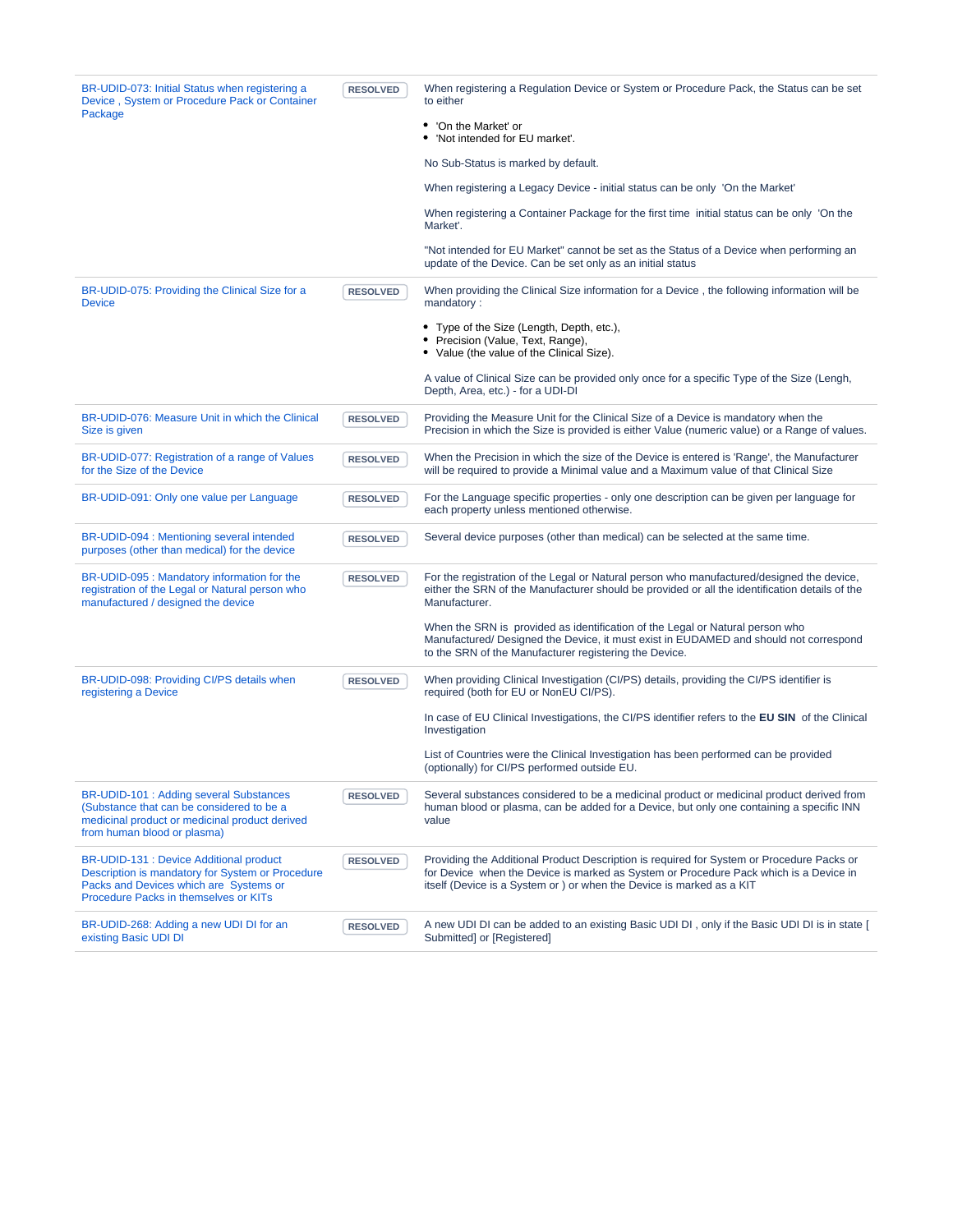| BR-UDID-073: Initial Status when registering a<br>Device, System or Procedure Pack or Container<br>Package                                                                     | <b>RESOLVED</b> | When registering a Regulation Device or System or Procedure Pack, the Status can be set<br>to either                                                                                                                                                        |
|--------------------------------------------------------------------------------------------------------------------------------------------------------------------------------|-----------------|-------------------------------------------------------------------------------------------------------------------------------------------------------------------------------------------------------------------------------------------------------------|
|                                                                                                                                                                                |                 | 'On the Market' or<br>'Not intended for EU market'.                                                                                                                                                                                                         |
|                                                                                                                                                                                |                 | No Sub-Status is marked by default.                                                                                                                                                                                                                         |
|                                                                                                                                                                                |                 | When registering a Legacy Device - initial status can be only 'On the Market'                                                                                                                                                                               |
|                                                                                                                                                                                |                 | When registering a Container Package for the first time initial status can be only 'On the<br>Market'.                                                                                                                                                      |
|                                                                                                                                                                                |                 | "Not intended for EU Market" cannot be set as the Status of a Device when performing an<br>update of the Device. Can be set only as an initial status                                                                                                       |
| BR-UDID-075: Providing the Clinical Size for a<br><b>Device</b>                                                                                                                | <b>RESOLVED</b> | When providing the Clinical Size information for a Device, the following information will be<br>mandatory:                                                                                                                                                  |
|                                                                                                                                                                                |                 | • Type of the Size (Length, Depth, etc.),<br>Precision (Value, Text, Range),<br>• Value (the value of the Clinical Size).                                                                                                                                   |
|                                                                                                                                                                                |                 | A value of Clinical Size can be provided only once for a specific Type of the Size (Lengh,<br>Depth, Area, etc.) - for a UDI-DI                                                                                                                             |
| BR-UDID-076: Measure Unit in which the Clinical<br>Size is given                                                                                                               | <b>RESOLVED</b> | Providing the Measure Unit for the Clinical Size of a Device is mandatory when the<br>Precision in which the Size is provided is either Value (numeric value) or a Range of values.                                                                         |
| BR-UDID-077: Registration of a range of Values<br>for the Size of the Device                                                                                                   | <b>RESOLVED</b> | When the Precision in which the size of the Device is entered is 'Range', the Manufacturer<br>will be required to provide a Minimal value and a Maximum value of that Clinical Size                                                                         |
| BR-UDID-091: Only one value per Language                                                                                                                                       | <b>RESOLVED</b> | For the Language specific properties - only one description can be given per language for<br>each property unless mentioned otherwise.                                                                                                                      |
| BR-UDID-094 : Mentioning several intended<br>purposes (other than medical) for the device                                                                                      | <b>RESOLVED</b> | Several device purposes (other than medical) can be selected at the same time.                                                                                                                                                                              |
| BR-UDID-095 : Mandatory information for the<br>registration of the Legal or Natural person who<br>manufactured / designed the device                                           | <b>RESOLVED</b> | For the registration of the Legal or Natural person who manufactured/designed the device,<br>either the SRN of the Manufacturer should be provided or all the identification details of the<br>Manufacturer.                                                |
|                                                                                                                                                                                |                 | When the SRN is provided as identification of the Legal or Natural person who<br>Manufactured/Designed the Device, it must exist in EUDAMED and should not correspond<br>to the SRN of the Manufacturer registering the Device.                             |
| BR-UDID-098: Providing CI/PS details when<br>registering a Device                                                                                                              | <b>RESOLVED</b> | When providing Clinical Investigation (CI/PS) details, providing the CI/PS identifier is<br>required (both for EU or NonEU CI/PS).                                                                                                                          |
|                                                                                                                                                                                |                 | In case of EU Clinical Investigations, the CI/PS identifier refers to the EU SIN of the Clinical<br>Investigation                                                                                                                                           |
|                                                                                                                                                                                |                 | List of Countries were the Clinical Investigation has been performed can be provided<br>(optionally) for CI/PS performed outside EU.                                                                                                                        |
| BR-UDID-101 : Adding several Substances<br>(Substance that can be considered to be a<br>medicinal product or medicinal product derived<br>from human blood or plasma)          | <b>RESOLVED</b> | Several substances considered to be a medicinal product or medicinal product derived from<br>human blood or plasma, can be added for a Device, but only one containing a specific INN<br>value                                                              |
| BR-UDID-131 : Device Additional product<br>Description is mandatory for System or Procedure<br>Packs and Devices which are Systems or<br>Procedure Packs in themselves or KITs | <b>RESOLVED</b> | Providing the Additional Product Description is required for System or Procedure Packs or<br>for Device when the Device is marked as System or Procedure Pack which is a Device in<br>itself (Device is a System or ) or when the Device is marked as a KIT |
| BR-UDID-268: Adding a new UDI DI for an<br>existing Basic UDI DI                                                                                                               | <b>RESOLVED</b> | A new UDI DI can be added to an existing Basic UDI DI, only if the Basic UDI DI is in state [<br>Submitted] or [Registered]                                                                                                                                 |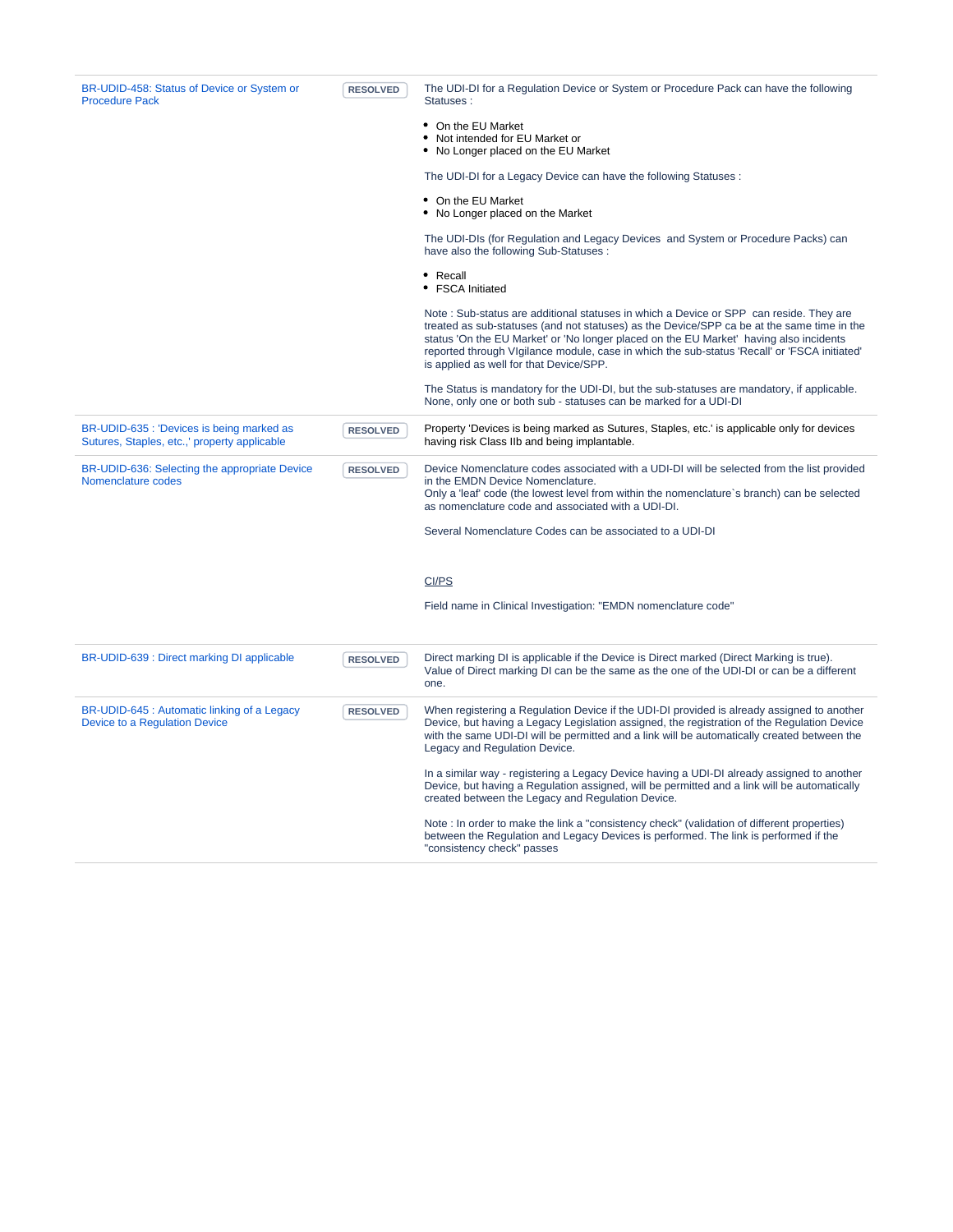| BR-UDID-458: Status of Device or System or<br><b>Procedure Pack</b>                       | <b>RESOLVED</b> | The UDI-DI for a Regulation Device or System or Procedure Pack can have the following<br>Statuses:                                                                                                                                                                                                                                                                                                                        |
|-------------------------------------------------------------------------------------------|-----------------|---------------------------------------------------------------------------------------------------------------------------------------------------------------------------------------------------------------------------------------------------------------------------------------------------------------------------------------------------------------------------------------------------------------------------|
|                                                                                           |                 | • On the EU Market<br>• Not intended for EU Market or<br>• No Longer placed on the EU Market                                                                                                                                                                                                                                                                                                                              |
|                                                                                           |                 | The UDI-DI for a Legacy Device can have the following Statuses :                                                                                                                                                                                                                                                                                                                                                          |
|                                                                                           |                 | • On the EU Market<br>• No Longer placed on the Market                                                                                                                                                                                                                                                                                                                                                                    |
|                                                                                           |                 | The UDI-DIs (for Regulation and Legacy Devices and System or Procedure Packs) can<br>have also the following Sub-Statuses :                                                                                                                                                                                                                                                                                               |
|                                                                                           |                 | • Recall<br>• FSCA Initiated                                                                                                                                                                                                                                                                                                                                                                                              |
|                                                                                           |                 | Note: Sub-status are additional statuses in which a Device or SPP can reside. They are<br>treated as sub-statuses (and not statuses) as the Device/SPP ca be at the same time in the<br>status 'On the EU Market' or 'No longer placed on the EU Market' having also incidents<br>reported through VIgilance module, case in which the sub-status 'Recall' or 'FSCA initiated'<br>is applied as well for that Device/SPP. |
|                                                                                           |                 | The Status is mandatory for the UDI-DI, but the sub-statuses are mandatory, if applicable.<br>None, only one or both sub - statuses can be marked for a UDI-DI                                                                                                                                                                                                                                                            |
| BR-UDID-635 : 'Devices is being marked as<br>Sutures, Staples, etc.,' property applicable | <b>RESOLVED</b> | Property 'Devices is being marked as Sutures, Staples, etc.' is applicable only for devices<br>having risk Class IIb and being implantable.                                                                                                                                                                                                                                                                               |
| BR-UDID-636: Selecting the appropriate Device<br>Nomenclature codes                       | <b>RESOLVED</b> | Device Nomenclature codes associated with a UDI-DI will be selected from the list provided<br>in the EMDN Device Nomenclature.<br>Only a 'leaf' code (the lowest level from within the nomenclature's branch) can be selected<br>as nomenclature code and associated with a UDI-DI.                                                                                                                                       |
|                                                                                           |                 | Several Nomenclature Codes can be associated to a UDI-DI                                                                                                                                                                                                                                                                                                                                                                  |
|                                                                                           |                 | CI/PS                                                                                                                                                                                                                                                                                                                                                                                                                     |
|                                                                                           |                 | Field name in Clinical Investigation: "EMDN nomenclature code"                                                                                                                                                                                                                                                                                                                                                            |
| BR-UDID-639 : Direct marking DI applicable                                                | <b>RESOLVED</b> | Direct marking DI is applicable if the Device is Direct marked (Direct Marking is true).<br>Value of Direct marking DI can be the same as the one of the UDI-DI or can be a different<br>one.                                                                                                                                                                                                                             |
| BR-UDID-645 : Automatic linking of a Legacy<br>Device to a Regulation Device              | <b>RESOLVED</b> | When registering a Regulation Device if the UDI-DI provided is already assigned to another<br>Device, but having a Legacy Legislation assigned, the registration of the Regulation Device<br>with the same UDI-DI will be permitted and a link will be automatically created between the<br>Legacy and Regulation Device.                                                                                                 |
|                                                                                           |                 | In a similar way - registering a Legacy Device having a UDI-DI already assigned to another<br>Device, but having a Regulation assigned, will be permitted and a link will be automatically<br>created between the Legacy and Regulation Device.                                                                                                                                                                           |
|                                                                                           |                 | Note: In order to make the link a "consistency check" (validation of different properties)<br>between the Regulation and Legacy Devices is performed. The link is performed if the<br>"consistency check" passes                                                                                                                                                                                                          |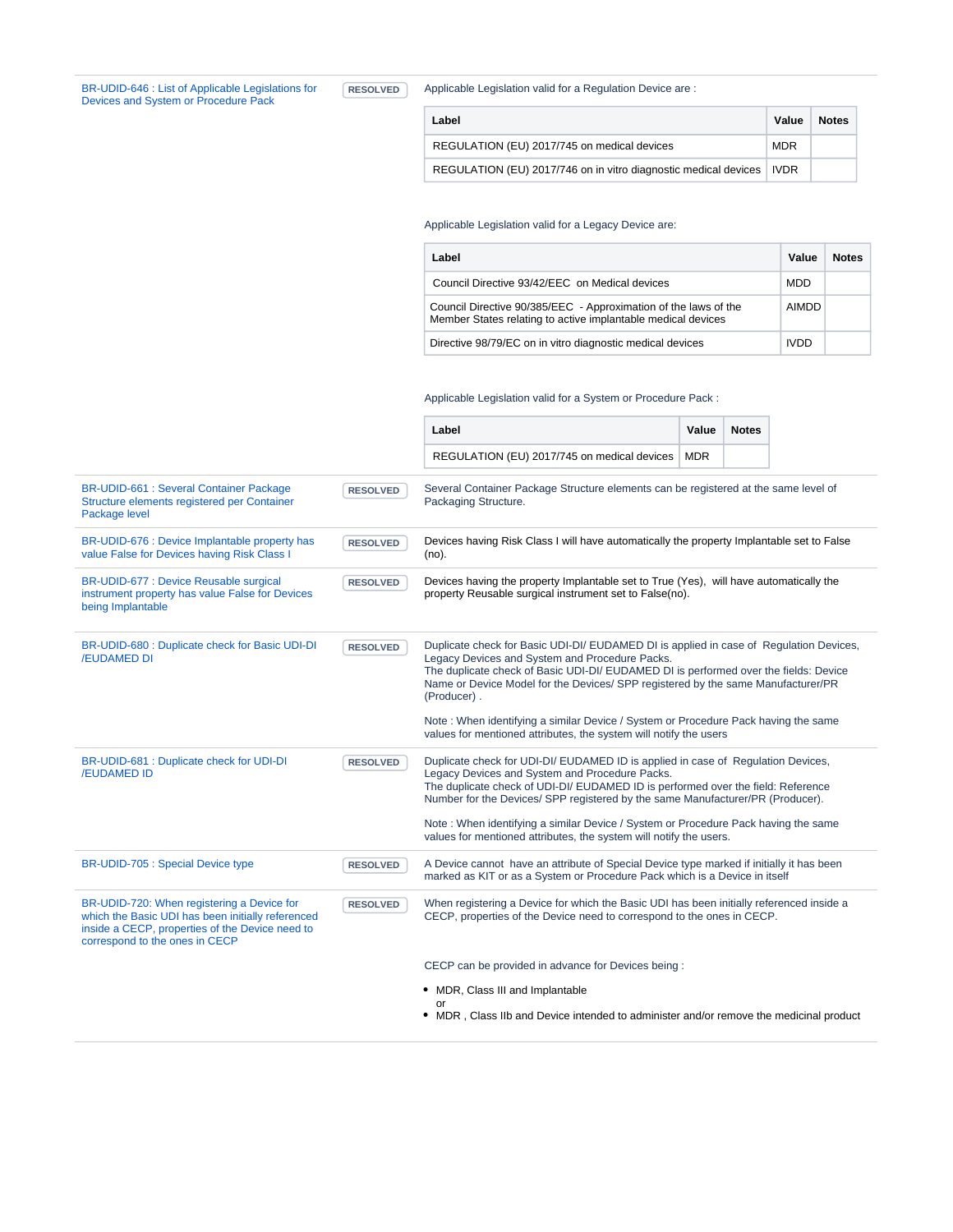[BR-UDID-646 : List of Applicable Legislations for](https://citnet.tech.ec.europa.eu/CITnet/jira/browse/EUDAMEDMDR-362?src=confmacro)  [Devices and System or Procedure Pack](https://citnet.tech.ec.europa.eu/CITnet/jira/browse/EUDAMEDMDR-362?src=confmacro)

**RESOLVED** Applicable Legislation valid for a Regulation Device are :

| Label                                                                  | Value      | <b>Notes</b> |
|------------------------------------------------------------------------|------------|--------------|
| REGULATION (EU) 2017/745 on medical devices                            | <b>MDR</b> |              |
| REGULATION (EU) 2017/746 on in vitro diagnostic medical devices   IVDR |            |              |

#### Applicable Legislation valid for a Legacy Device are:

| Label                                                                                                                           | Value       | <b>Notes</b> |
|---------------------------------------------------------------------------------------------------------------------------------|-------------|--------------|
| Council Directive 93/42/EEC on Medical devices                                                                                  | <b>MDD</b>  |              |
| Council Directive 90/385/EEC - Approximation of the laws of the<br>Member States relating to active implantable medical devices | AIMDD       |              |
| Directive 98/79/EC on in vitro diagnostic medical devices                                                                       | <b>IVDD</b> |              |

Applicable Legislation valid for a System or Procedure Pack :

|                                                                                                                                                                                      |                 | Label                                                                                                                                                                                                                                                                                                                                                                                                                                                               | Value      | <b>Notes</b> |  |
|--------------------------------------------------------------------------------------------------------------------------------------------------------------------------------------|-----------------|---------------------------------------------------------------------------------------------------------------------------------------------------------------------------------------------------------------------------------------------------------------------------------------------------------------------------------------------------------------------------------------------------------------------------------------------------------------------|------------|--------------|--|
|                                                                                                                                                                                      |                 | REGULATION (EU) 2017/745 on medical devices                                                                                                                                                                                                                                                                                                                                                                                                                         | <b>MDR</b> |              |  |
| <b>BR-UDID-661: Several Container Package</b><br>Structure elements registered per Container<br>Package level                                                                        | <b>RESOLVED</b> | Several Container Package Structure elements can be registered at the same level of<br>Packaging Structure.                                                                                                                                                                                                                                                                                                                                                         |            |              |  |
| BR-UDID-676 : Device Implantable property has<br>value False for Devices having Risk Class I                                                                                         | <b>RESOLVED</b> | Devices having Risk Class I will have automatically the property Implantable set to False<br>(no).                                                                                                                                                                                                                                                                                                                                                                  |            |              |  |
| BR-UDID-677 : Device Reusable surgical<br>instrument property has value False for Devices<br>being Implantable                                                                       | <b>RESOLVED</b> | Devices having the property Implantable set to True (Yes), will have automatically the<br>property Reusable surgical instrument set to False(no).                                                                                                                                                                                                                                                                                                                   |            |              |  |
| BR-UDID-680 : Duplicate check for Basic UDI-DI<br><b>/EUDAMED DI</b>                                                                                                                 | <b>RESOLVED</b> | Duplicate check for Basic UDI-DI/ EUDAMED DI is applied in case of Regulation Devices,<br>Legacy Devices and System and Procedure Packs.<br>The duplicate check of Basic UDI-DI/ EUDAMED DI is performed over the fields: Device<br>Name or Device Model for the Devices/ SPP registered by the same Manufacturer/PR<br>(Producer).                                                                                                                                 |            |              |  |
|                                                                                                                                                                                      |                 | Note: When identifying a similar Device / System or Procedure Pack having the same<br>values for mentioned attributes, the system will notify the users                                                                                                                                                                                                                                                                                                             |            |              |  |
| BR-UDID-681 : Duplicate check for UDI-DI<br><b>/EUDAMED ID</b>                                                                                                                       | <b>RESOLVED</b> | Duplicate check for UDI-DI/ EUDAMED ID is applied in case of Regulation Devices,<br>Legacy Devices and System and Procedure Packs.<br>The duplicate check of UDI-DI/EUDAMED ID is performed over the field: Reference<br>Number for the Devices/ SPP registered by the same Manufacturer/PR (Producer).<br>Note: When identifying a similar Device / System or Procedure Pack having the same<br>values for mentioned attributes, the system will notify the users. |            |              |  |
| BR-UDID-705 : Special Device type                                                                                                                                                    | <b>RESOLVED</b> | A Device cannot have an attribute of Special Device type marked if initially it has been<br>marked as KIT or as a System or Procedure Pack which is a Device in itself                                                                                                                                                                                                                                                                                              |            |              |  |
| BR-UDID-720: When registering a Device for<br>which the Basic UDI has been initially referenced<br>inside a CECP, properties of the Device need to<br>correspond to the ones in CECP | <b>RESOLVED</b> | When registering a Device for which the Basic UDI has been initially referenced inside a<br>CECP, properties of the Device need to correspond to the ones in CECP.                                                                                                                                                                                                                                                                                                  |            |              |  |
|                                                                                                                                                                                      |                 | CECP can be provided in advance for Devices being:                                                                                                                                                                                                                                                                                                                                                                                                                  |            |              |  |
|                                                                                                                                                                                      |                 | • MDR, Class III and Implantable<br>or                                                                                                                                                                                                                                                                                                                                                                                                                              |            |              |  |
|                                                                                                                                                                                      |                 | • MDR, Class IIb and Device intended to administer and/or remove the medicinal product                                                                                                                                                                                                                                                                                                                                                                              |            |              |  |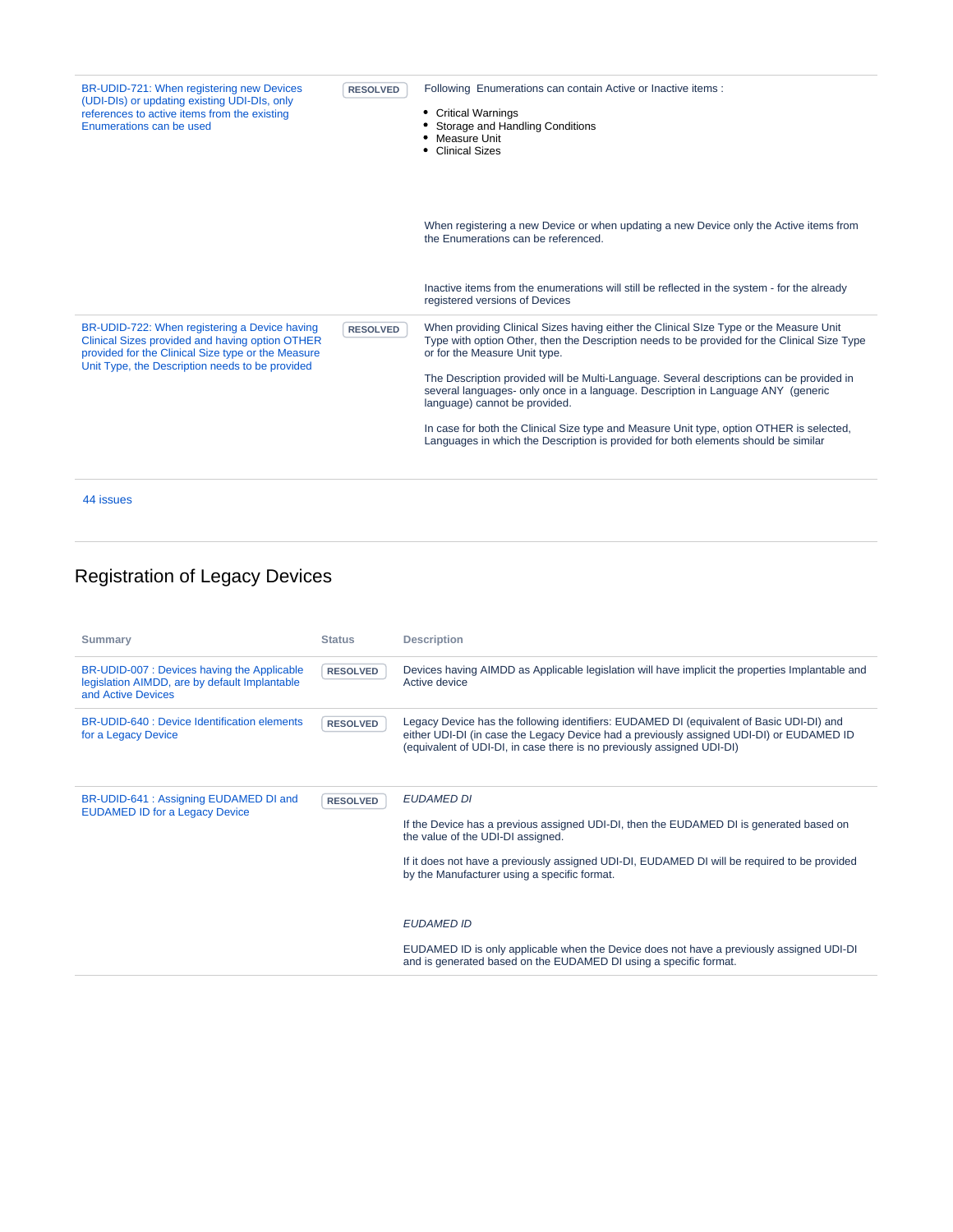| BR-UDID-721: When registering new Devices<br>(UDI-DIs) or updating existing UDI-DIs, only<br>references to active items from the existing<br>Enumerations can be used                                     | <b>RESOLVED</b> | Following Enumerations can contain Active or Inactive items :<br><b>Critical Warnings</b><br>٠<br>Storage and Handling Conditions<br>• Measure Unit<br>• Clinical Sizes                                                 |
|-----------------------------------------------------------------------------------------------------------------------------------------------------------------------------------------------------------|-----------------|-------------------------------------------------------------------------------------------------------------------------------------------------------------------------------------------------------------------------|
|                                                                                                                                                                                                           |                 | When registering a new Device or when updating a new Device only the Active items from<br>the Enumerations can be referenced.                                                                                           |
|                                                                                                                                                                                                           |                 | Inactive items from the enumerations will still be reflected in the system - for the already<br>registered versions of Devices                                                                                          |
| BR-UDID-722: When registering a Device having<br>Clinical Sizes provided and having option OTHER<br>provided for the Clinical Size type or the Measure<br>Unit Type, the Description needs to be provided | <b>RESOLVED</b> | When providing Clinical Sizes having either the Clinical SIze Type or the Measure Unit<br>Type with option Other, then the Description needs to be provided for the Clinical Size Type<br>or for the Measure Unit type. |
|                                                                                                                                                                                                           |                 | The Description provided will be Multi-Language. Several descriptions can be provided in<br>several languages- only once in a language. Description in Language ANY (generic<br>language) cannot be provided.           |
|                                                                                                                                                                                                           |                 | In case for both the Clinical Size type and Measure Unit type, option OTHER is selected,<br>Languages in which the Description is provided for both elements should be similar                                          |
| 44 issues                                                                                                                                                                                                 |                 |                                                                                                                                                                                                                         |

## Registration of Legacy Devices

| <b>Summary</b>                                                                                                     | <b>Status</b>   | <b>Description</b>                                                                                                                                                                                                                                                                                |
|--------------------------------------------------------------------------------------------------------------------|-----------------|---------------------------------------------------------------------------------------------------------------------------------------------------------------------------------------------------------------------------------------------------------------------------------------------------|
| BR-UDID-007 : Devices having the Applicable<br>legislation AIMDD, are by default Implantable<br>and Active Devices | <b>RESOLVED</b> | Devices having AIMDD as Applicable legislation will have implicit the properties Implantable and<br>Active device                                                                                                                                                                                 |
| BR-UDID-640 : Device Identification elements<br>for a Legacy Device                                                | <b>RESOLVED</b> | Legacy Device has the following identifiers: EUDAMED DI (equivalent of Basic UDI-DI) and<br>either UDI-DI (in case the Legacy Device had a previously assigned UDI-DI) or EUDAMED ID<br>(equivalent of UDI-DI, in case there is no previously assigned UDI-DI)                                    |
| BR-UDID-641 : Assigning EUDAMED DI and<br><b>EUDAMED ID for a Legacy Device</b>                                    | <b>RESOLVED</b> | <b>EUDAMED DI</b><br>If the Device has a previous assigned UDI-DI, then the EUDAMED DI is generated based on<br>the value of the UDI-DI assigned.<br>If it does not have a previously assigned UDI-DI, EUDAMED DI will be required to be provided<br>by the Manufacturer using a specific format. |
|                                                                                                                    |                 | <b>EUDAMED ID</b><br>EUDAMED ID is only applicable when the Device does not have a previously assigned UDI-DI<br>and is generated based on the EUDAMED DI using a specific format.                                                                                                                |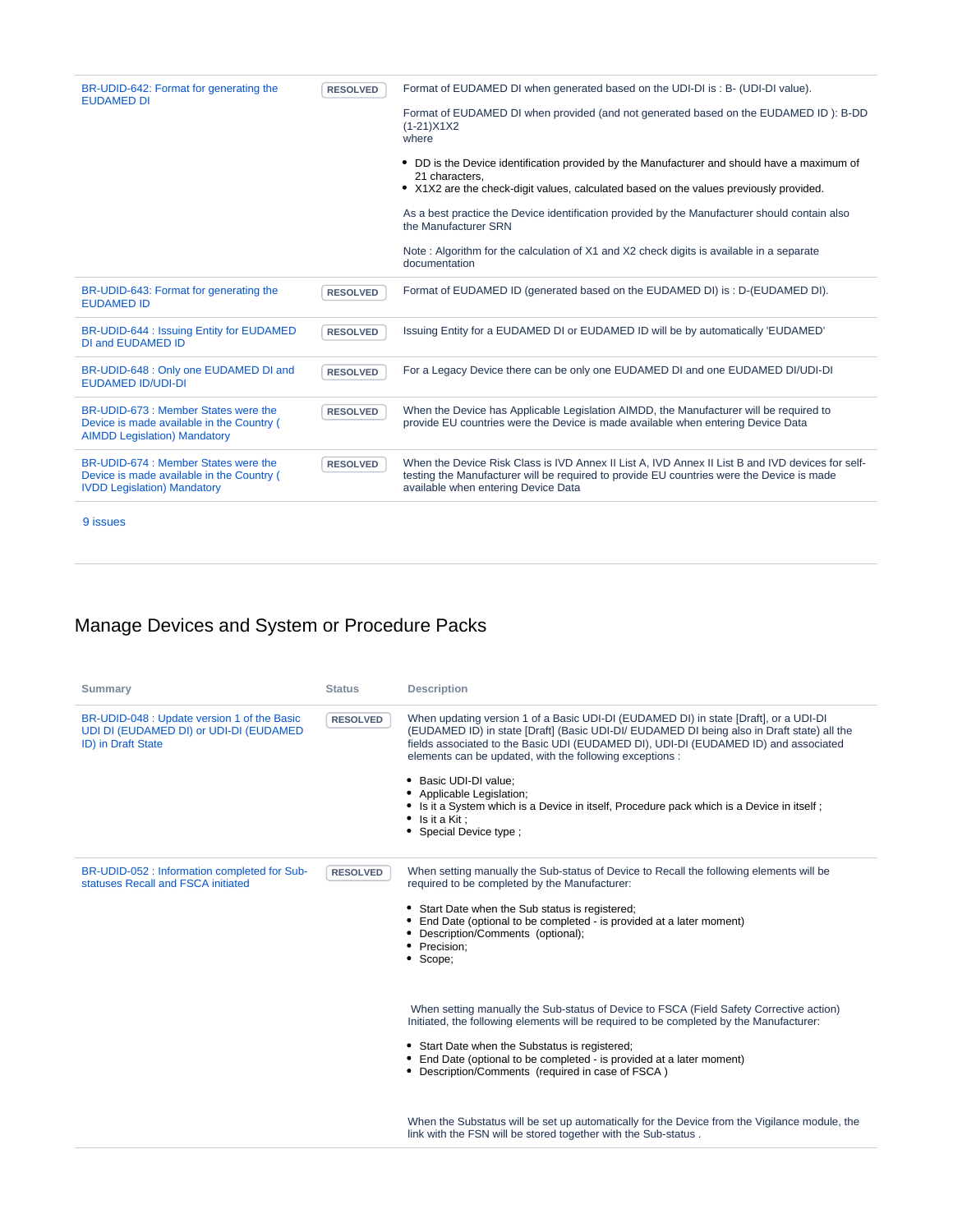| BR-UDID-642: Format for generating the<br><b>EUDAMED DI</b>                                                              | <b>RESOLVED</b> | Format of EUDAMED DI when generated based on the UDI-DI is : B- (UDI-DI value).                                                                                                                                                      |
|--------------------------------------------------------------------------------------------------------------------------|-----------------|--------------------------------------------------------------------------------------------------------------------------------------------------------------------------------------------------------------------------------------|
|                                                                                                                          |                 | Format of EUDAMED DI when provided (and not generated based on the EUDAMED ID): B-DD<br>$(1-21)X1X2$<br>where                                                                                                                        |
|                                                                                                                          |                 | • DD is the Device identification provided by the Manufacturer and should have a maximum of<br>21 characters.<br>• X1X2 are the check-digit values, calculated based on the values previously provided.                              |
|                                                                                                                          |                 | As a best practice the Device identification provided by the Manufacturer should contain also<br>the Manufacturer SRN                                                                                                                |
|                                                                                                                          |                 | Note: Algorithm for the calculation of X1 and X2 check digits is available in a separate<br>documentation                                                                                                                            |
| BR-UDID-643: Format for generating the<br><b>EUDAMED ID</b>                                                              | <b>RESOLVED</b> | Format of EUDAMED ID (generated based on the EUDAMED DI) is: D-(EUDAMED DI).                                                                                                                                                         |
| BR-UDID-644 : Issuing Entity for EUDAMED<br><b>DI and EUDAMED ID</b>                                                     | <b>RESOLVED</b> | Issuing Entity for a EUDAMED DI or EUDAMED ID will be by automatically 'EUDAMED'                                                                                                                                                     |
| BR-UDID-648 : Only one EUDAMED DI and<br><b>EUDAMED ID/UDI-DI</b>                                                        | <b>RESOLVED</b> | For a Legacy Device there can be only one EUDAMED DI and one EUDAMED DI/UDI-DI                                                                                                                                                       |
| BR-UDID-673 : Member States were the<br>Device is made available in the Country (<br><b>AIMDD Legislation) Mandatory</b> | <b>RESOLVED</b> | When the Device has Applicable Legislation AIMDD, the Manufacturer will be required to<br>provide EU countries were the Device is made available when entering Device Data                                                           |
| BR-UDID-674 : Member States were the<br>Device is made available in the Country (<br><b>IVDD Legislation) Mandatory</b>  | <b>RESOLVED</b> | When the Device Risk Class is IVD Annex II List A, IVD Annex II List B and IVD devices for self-<br>testing the Manufacturer will be required to provide EU countries were the Device is made<br>available when entering Device Data |
| 9 issues                                                                                                                 |                 |                                                                                                                                                                                                                                      |

## Manage Devices and System or Procedure Packs

| <b>Summary</b>                                                                                              | <b>Status</b>   | <b>Description</b>                                                                                                                                                                                                                                                                                                                    |
|-------------------------------------------------------------------------------------------------------------|-----------------|---------------------------------------------------------------------------------------------------------------------------------------------------------------------------------------------------------------------------------------------------------------------------------------------------------------------------------------|
| BR-UDID-048 : Update version 1 of the Basic<br>UDI DI (EUDAMED DI) or UDI-DI (EUDAMED<br>ID) in Draft State | <b>RESOLVED</b> | When updating version 1 of a Basic UDI-DI (EUDAMED DI) in state [Draft], or a UDI-DI<br>(EUDAMED ID) in state [Draft] (Basic UDI-DI/ EUDAMED DI being also in Draft state) all the<br>fields associated to the Basic UDI (EUDAMED DI), UDI-DI (EUDAMED ID) and associated<br>elements can be updated, with the following exceptions : |
|                                                                                                             |                 | Basic UDI-DI value:<br>٠<br>• Applicable Legislation;<br>• Is it a System which is a Device in itself, Procedure pack which is a Device in itself;<br>$\bullet$ Is it a Kit:<br>• Special Device type ;                                                                                                                               |
| BR-UDID-052 : Information completed for Sub-<br>statuses Recall and FSCA initiated                          | <b>RESOLVED</b> | When setting manually the Sub-status of Device to Recall the following elements will be<br>required to be completed by the Manufacturer:                                                                                                                                                                                              |
|                                                                                                             |                 | • Start Date when the Sub status is registered;<br>End Date (optional to be completed - is provided at a later moment)<br>Description/Comments (optional);<br>• Precision:<br>• Scope:                                                                                                                                                |
|                                                                                                             |                 | When setting manually the Sub-status of Device to FSCA (Field Safety Corrective action)<br>Initiated, the following elements will be required to be completed by the Manufacturer:                                                                                                                                                    |
|                                                                                                             |                 | • Start Date when the Substatus is registered;<br>End Date (optional to be completed - is provided at a later moment)<br>• Description/Comments (required in case of FSCA)                                                                                                                                                            |
|                                                                                                             |                 | When the Substatus will be set up automatically for the Device from the Vigilance module, the<br>link with the FSN will be stored together with the Sub-status.                                                                                                                                                                       |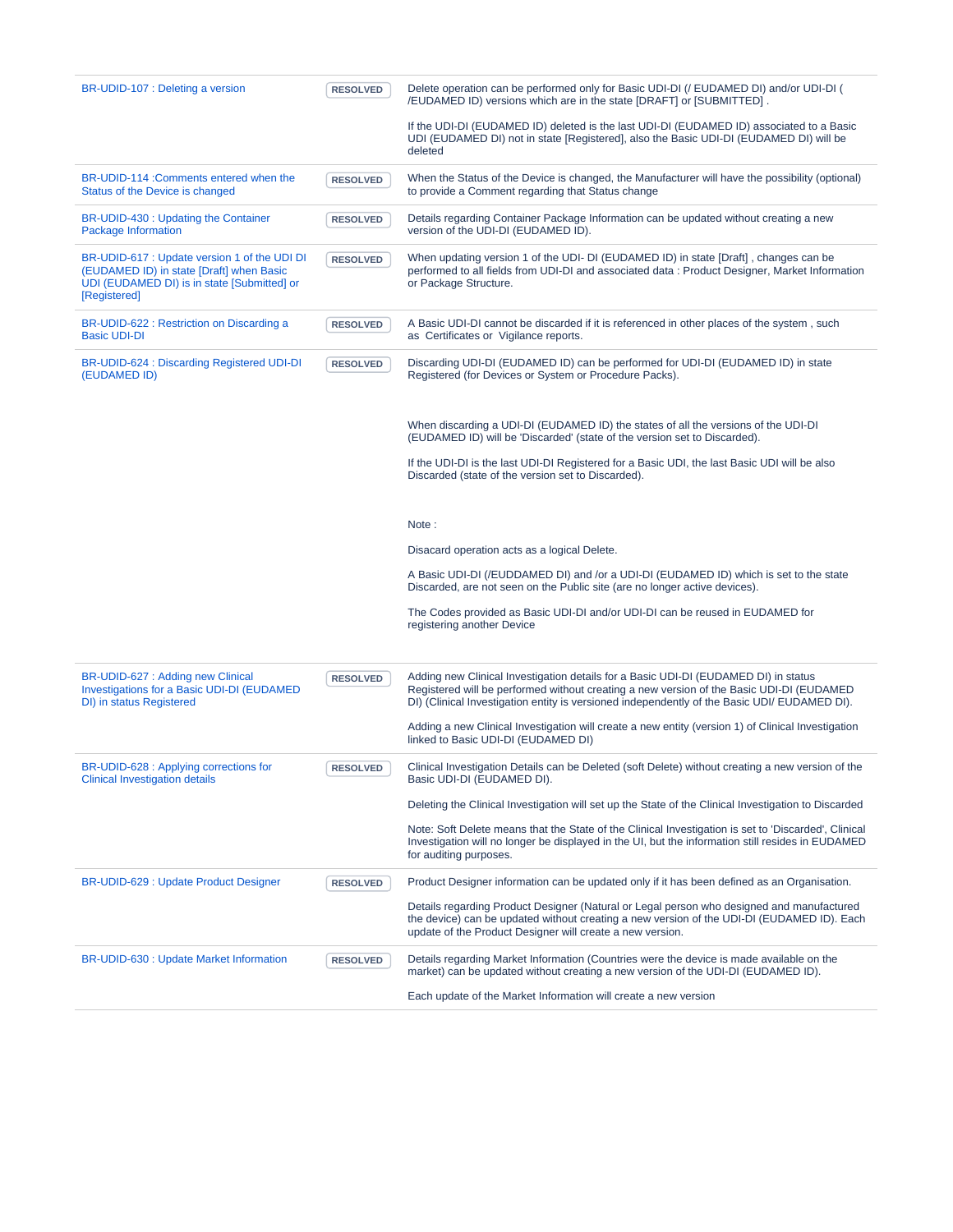| BR-UDID-107 : Deleting a version                                                                                                                        | <b>RESOLVED</b> | Delete operation can be performed only for Basic UDI-DI (/ EUDAMED DI) and/or UDI-DI (<br>/EUDAMED ID) versions which are in the state [DRAFT] or [SUBMITTED].                                                                                                                                                                                                                        |
|---------------------------------------------------------------------------------------------------------------------------------------------------------|-----------------|---------------------------------------------------------------------------------------------------------------------------------------------------------------------------------------------------------------------------------------------------------------------------------------------------------------------------------------------------------------------------------------|
|                                                                                                                                                         |                 | If the UDI-DI (EUDAMED ID) deleted is the last UDI-DI (EUDAMED ID) associated to a Basic<br>UDI (EUDAMED DI) not in state [Registered], also the Basic UDI-DI (EUDAMED DI) will be<br>deleted                                                                                                                                                                                         |
| BR-UDID-114 : Comments entered when the<br>Status of the Device is changed                                                                              | <b>RESOLVED</b> | When the Status of the Device is changed, the Manufacturer will have the possibility (optional)<br>to provide a Comment regarding that Status change                                                                                                                                                                                                                                  |
| BR-UDID-430 : Updating the Container<br>Package Information                                                                                             | <b>RESOLVED</b> | Details regarding Container Package Information can be updated without creating a new<br>version of the UDI-DI (EUDAMED ID).                                                                                                                                                                                                                                                          |
| BR-UDID-617 : Update version 1 of the UDI DI<br>(EUDAMED ID) in state [Draft] when Basic<br>UDI (EUDAMED DI) is in state [Submitted] or<br>[Registered] | <b>RESOLVED</b> | When updating version 1 of the UDI- DI (EUDAMED ID) in state [Draft], changes can be<br>performed to all fields from UDI-DI and associated data: Product Designer, Market Information<br>or Package Structure.                                                                                                                                                                        |
| BR-UDID-622 : Restriction on Discarding a<br><b>Basic UDI-DI</b>                                                                                        | <b>RESOLVED</b> | A Basic UDI-DI cannot be discarded if it is referenced in other places of the system, such<br>as Certificates or Vigilance reports.                                                                                                                                                                                                                                                   |
| BR-UDID-624 : Discarding Registered UDI-DI<br>(EUDAMED ID)                                                                                              | <b>RESOLVED</b> | Discarding UDI-DI (EUDAMED ID) can be performed for UDI-DI (EUDAMED ID) in state<br>Registered (for Devices or System or Procedure Packs).                                                                                                                                                                                                                                            |
|                                                                                                                                                         |                 | When discarding a UDI-DI (EUDAMED ID) the states of all the versions of the UDI-DI<br>(EUDAMED ID) will be 'Discarded' (state of the version set to Discarded).                                                                                                                                                                                                                       |
|                                                                                                                                                         |                 | If the UDI-DI is the last UDI-DI Registered for a Basic UDI, the last Basic UDI will be also<br>Discarded (state of the version set to Discarded).                                                                                                                                                                                                                                    |
|                                                                                                                                                         |                 | Note:                                                                                                                                                                                                                                                                                                                                                                                 |
|                                                                                                                                                         |                 | Disacard operation acts as a logical Delete.                                                                                                                                                                                                                                                                                                                                          |
|                                                                                                                                                         |                 | A Basic UDI-DI (/EUDDAMED DI) and /or a UDI-DI (EUDAMED ID) which is set to the state<br>Discarded, are not seen on the Public site (are no longer active devices).                                                                                                                                                                                                                   |
|                                                                                                                                                         |                 | The Codes provided as Basic UDI-DI and/or UDI-DI can be reused in EUDAMED for<br>registering another Device                                                                                                                                                                                                                                                                           |
| BR-UDID-627 : Adding new Clinical<br>Investigations for a Basic UDI-DI (EUDAMED<br>DI) in status Registered                                             | <b>RESOLVED</b> | Adding new Clinical Investigation details for a Basic UDI-DI (EUDAMED DI) in status<br>Registered will be performed without creating a new version of the Basic UDI-DI (EUDAMED<br>DI) (Clinical Investigation entity is versioned independently of the Basic UDI/ EUDAMED DI).<br>Adding a new Clinical Investigation will create a new entity (version 1) of Clinical Investigation |
| BR-UDID-628 : Applying corrections for                                                                                                                  | <b>RESOLVED</b> | linked to Basic UDI-DI (EUDAMED DI)<br>Clinical Investigation Details can be Deleted (soft Delete) without creating a new version of the<br>Basic UDI-DI (EUDAMED DI).                                                                                                                                                                                                                |
| <b>Clinical Investigation details</b>                                                                                                                   |                 | Deleting the Clinical Investigation will set up the State of the Clinical Investigation to Discarded                                                                                                                                                                                                                                                                                  |
|                                                                                                                                                         |                 | Note: Soft Delete means that the State of the Clinical Investigation is set to 'Discarded', Clinical<br>Investigation will no longer be displayed in the UI, but the information still resides in EUDAMED<br>for auditing purposes.                                                                                                                                                   |
| <b>BR-UDID-629 : Update Product Designer</b>                                                                                                            | <b>RESOLVED</b> | Product Designer information can be updated only if it has been defined as an Organisation.                                                                                                                                                                                                                                                                                           |
|                                                                                                                                                         |                 | Details regarding Product Designer (Natural or Legal person who designed and manufactured<br>the device) can be updated without creating a new version of the UDI-DI (EUDAMED ID). Each<br>update of the Product Designer will create a new version.                                                                                                                                  |
| BR-UDID-630 : Update Market Information                                                                                                                 | <b>RESOLVED</b> | Details regarding Market Information (Countries were the device is made available on the<br>market) can be updated without creating a new version of the UDI-DI (EUDAMED ID).                                                                                                                                                                                                         |
|                                                                                                                                                         |                 | Each update of the Market Information will create a new version                                                                                                                                                                                                                                                                                                                       |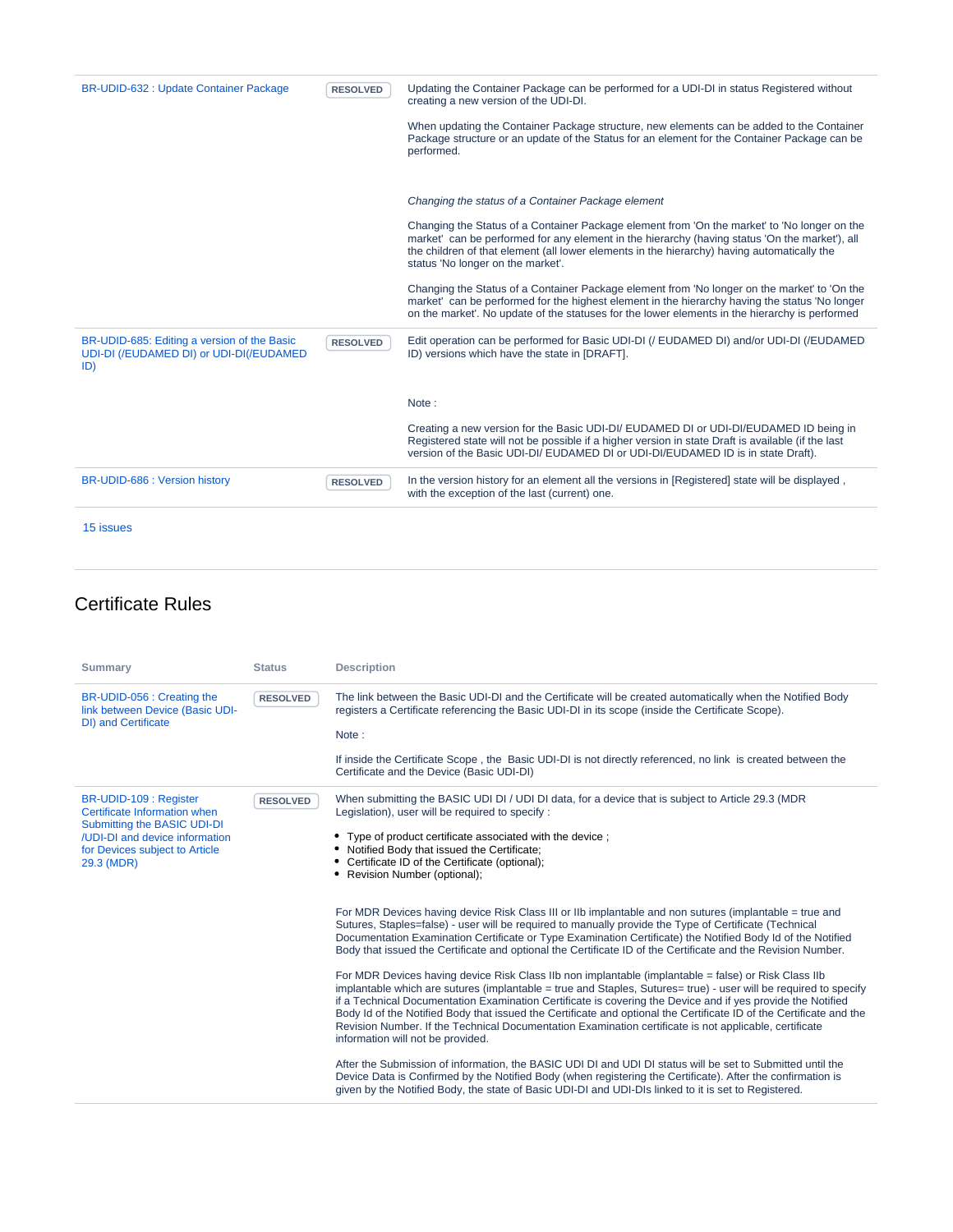| BR-UDID-632 : Update Container Package                                                        | <b>RESOLVED</b> | Updating the Container Package can be performed for a UDI-DI in status Registered without<br>creating a new version of the UDI-DI.                                                                                                                                                                                                 |
|-----------------------------------------------------------------------------------------------|-----------------|------------------------------------------------------------------------------------------------------------------------------------------------------------------------------------------------------------------------------------------------------------------------------------------------------------------------------------|
|                                                                                               |                 | When updating the Container Package structure, new elements can be added to the Container<br>Package structure or an update of the Status for an element for the Container Package can be<br>performed.                                                                                                                            |
|                                                                                               |                 | Changing the status of a Container Package element                                                                                                                                                                                                                                                                                 |
|                                                                                               |                 | Changing the Status of a Container Package element from 'On the market' to 'No longer on the<br>market' can be performed for any element in the hierarchy (having status 'On the market'), all<br>the children of that element (all lower elements in the hierarchy) having automatically the<br>status 'No longer on the market'. |
|                                                                                               |                 | Changing the Status of a Container Package element from 'No longer on the market' to 'On the<br>market' can be performed for the highest element in the hierarchy having the status 'No longer<br>on the market'. No update of the statuses for the lower elements in the hierarchy is performed                                   |
| BR-UDID-685: Editing a version of the Basic<br>UDI-DI (/EUDAMED DI) or UDI-DI(/EUDAMED<br>ID) | <b>RESOLVED</b> | Edit operation can be performed for Basic UDI-DI (/ EUDAMED DI) and/or UDI-DI (/EUDAMED<br>ID) versions which have the state in [DRAFT].                                                                                                                                                                                           |
|                                                                                               |                 | Note:                                                                                                                                                                                                                                                                                                                              |
|                                                                                               |                 | Creating a new version for the Basic UDI-DI/ EUDAMED DI or UDI-DI/EUDAMED ID being in<br>Registered state will not be possible if a higher version in state Draft is available (if the last<br>version of the Basic UDI-DI/ EUDAMED DI or UDI-DI/EUDAMED ID is in state Draft).                                                    |
| BR-UDID-686 : Version history                                                                 | <b>RESOLVED</b> | In the version history for an element all the versions in [Registered] state will be displayed,<br>with the exception of the last (current) one.                                                                                                                                                                                   |
|                                                                                               |                 |                                                                                                                                                                                                                                                                                                                                    |

#### Certificate Rules

| <b>Summary</b>                                                                                                                                                          | <b>Status</b>   | <b>Description</b>                                                                                                                                                                                                                                                                                                                                                                                                                                                                                                                                                                                                                                                                                                                                                                                                                                                                                                                                                                                                                                                                                                                                                                                                                                                                                                                                                                                                                                                                                                                                                                                                                                                                                                                                            |
|-------------------------------------------------------------------------------------------------------------------------------------------------------------------------|-----------------|---------------------------------------------------------------------------------------------------------------------------------------------------------------------------------------------------------------------------------------------------------------------------------------------------------------------------------------------------------------------------------------------------------------------------------------------------------------------------------------------------------------------------------------------------------------------------------------------------------------------------------------------------------------------------------------------------------------------------------------------------------------------------------------------------------------------------------------------------------------------------------------------------------------------------------------------------------------------------------------------------------------------------------------------------------------------------------------------------------------------------------------------------------------------------------------------------------------------------------------------------------------------------------------------------------------------------------------------------------------------------------------------------------------------------------------------------------------------------------------------------------------------------------------------------------------------------------------------------------------------------------------------------------------------------------------------------------------------------------------------------------------|
| BR-UDID-056 : Creating the<br>link between Device (Basic UDI-<br><b>DI</b> ) and Certificate                                                                            | <b>RESOLVED</b> | The link between the Basic UDI-DI and the Certificate will be created automatically when the Notified Body<br>registers a Certificate referencing the Basic UDI-DI in its scope (inside the Certificate Scope).<br>Note:                                                                                                                                                                                                                                                                                                                                                                                                                                                                                                                                                                                                                                                                                                                                                                                                                                                                                                                                                                                                                                                                                                                                                                                                                                                                                                                                                                                                                                                                                                                                      |
|                                                                                                                                                                         |                 | If inside the Certificate Scope, the Basic UDI-DI is not directly referenced, no link is created between the<br>Certificate and the Device (Basic UDI-DI)                                                                                                                                                                                                                                                                                                                                                                                                                                                                                                                                                                                                                                                                                                                                                                                                                                                                                                                                                                                                                                                                                                                                                                                                                                                                                                                                                                                                                                                                                                                                                                                                     |
| BR-UDID-109 : Register<br>Certificate Information when<br>Submitting the BASIC UDI-DI<br>/UDI-DI and device information<br>for Devices subject to Article<br>29.3 (MDR) | <b>RESOLVED</b> | When submitting the BASIC UDI DI / UDI DI data, for a device that is subject to Article 29.3 (MDR<br>Legislation), user will be required to specify:<br>• Type of product certificate associated with the device;<br>• Notified Body that issued the Certificate;<br>Certificate ID of the Certificate (optional);<br>• Revision Number (optional);<br>For MDR Devices having device Risk Class III or IIb implantable and non sutures (implantable = true and<br>Sutures, Staples=false) - user will be required to manually provide the Type of Certificate (Technical<br>Documentation Examination Certificate or Type Examination Certificate) the Notified Body Id of the Notified<br>Body that issued the Certificate and optional the Certificate ID of the Certificate and the Revision Number.<br>For MDR Devices having device Risk Class IIb non implantable (implantable = false) or Risk Class IIb<br>implantable which are sutures (implantable = true and Staples, Sutures= true) - user will be required to specify<br>if a Technical Documentation Examination Certificate is covering the Device and if yes provide the Notified<br>Body Id of the Notified Body that issued the Certificate and optional the Certificate ID of the Certificate and the<br>Revision Number. If the Technical Documentation Examination certificate is not applicable, certificate<br>information will not be provided.<br>After the Submission of information, the BASIC UDI DI and UDI DI status will be set to Submitted until the<br>Device Data is Confirmed by the Notified Body (when registering the Certificate). After the confirmation is<br>given by the Notified Body, the state of Basic UDI-DI and UDI-DIs linked to it is set to Registered. |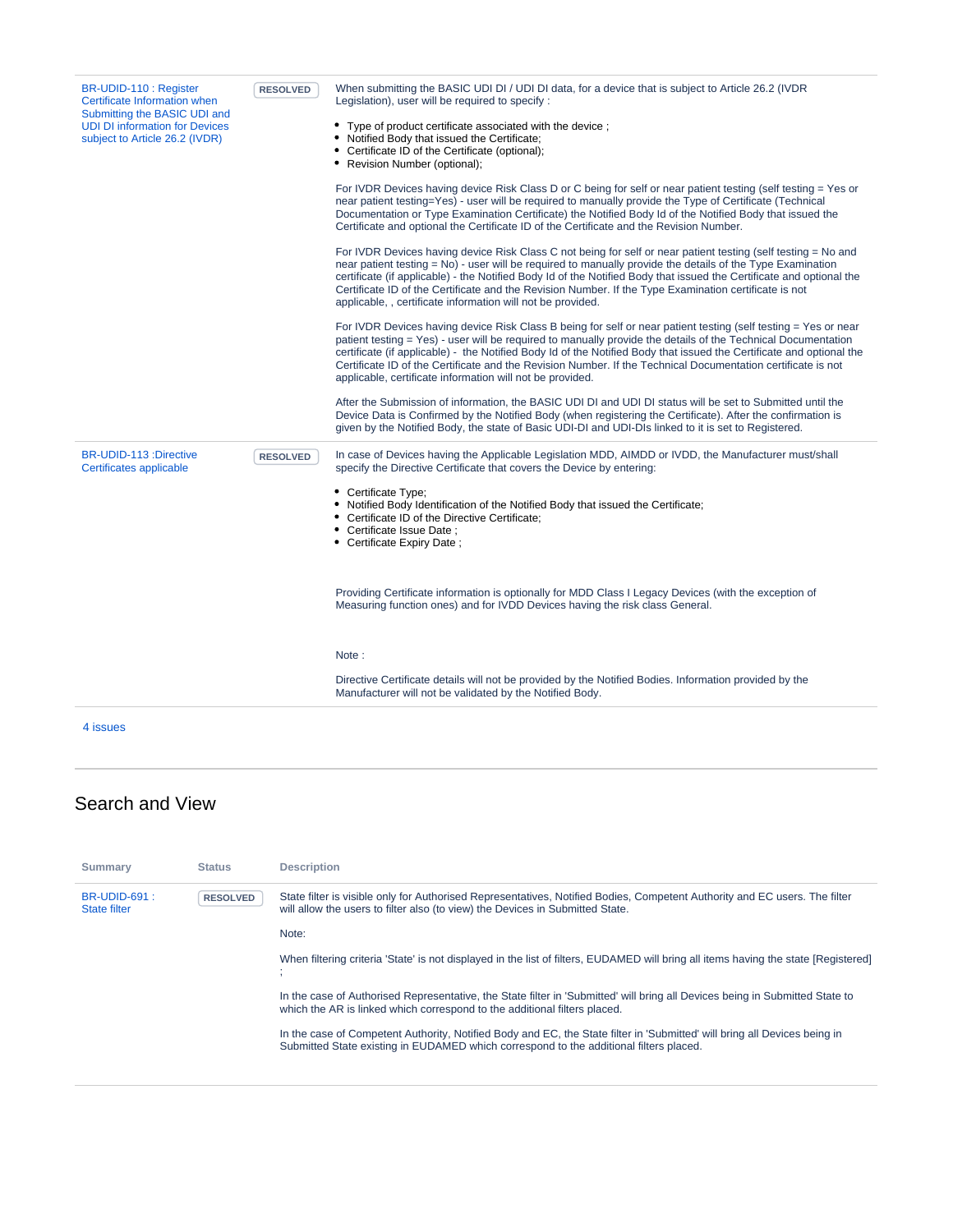| BR-UDID-110 : Register<br>Certificate Information when<br>Submitting the BASIC UDI and<br><b>UDI DI information for Devices</b><br>subject to Article 26.2 (IVDR) | <b>RESOLVED</b> | When submitting the BASIC UDI DI / UDI DI data, for a device that is subject to Article 26.2 (IVDR<br>Legislation), user will be required to specify:                                                                                                                                                                                                                                                                                                                                                                                |
|-------------------------------------------------------------------------------------------------------------------------------------------------------------------|-----------------|--------------------------------------------------------------------------------------------------------------------------------------------------------------------------------------------------------------------------------------------------------------------------------------------------------------------------------------------------------------------------------------------------------------------------------------------------------------------------------------------------------------------------------------|
|                                                                                                                                                                   |                 | • Type of product certificate associated with the device ;<br>• Notified Body that issued the Certificate;<br>• Certificate ID of the Certificate (optional);<br>• Revision Number (optional);                                                                                                                                                                                                                                                                                                                                       |
|                                                                                                                                                                   |                 | For IVDR Devices having device Risk Class D or C being for self or near patient testing (self testing = Yes or<br>near patient testing=Yes) - user will be required to manually provide the Type of Certificate (Technical<br>Documentation or Type Examination Certificate) the Notified Body Id of the Notified Body that issued the<br>Certificate and optional the Certificate ID of the Certificate and the Revision Number.                                                                                                    |
|                                                                                                                                                                   |                 | For IVDR Devices having device Risk Class C not being for self or near patient testing (self testing = No and<br>near patient testing = No) - user will be required to manually provide the details of the Type Examination<br>certificate (if applicable) - the Notified Body Id of the Notified Body that issued the Certificate and optional the<br>Certificate ID of the Certificate and the Revision Number. If the Type Examination certificate is not<br>applicable, , certificate information will not be provided.          |
|                                                                                                                                                                   |                 | For IVDR Devices having device Risk Class B being for self or near patient testing (self testing = Yes or near<br>patient testing = Yes) - user will be required to manually provide the details of the Technical Documentation<br>certificate (if applicable) - the Notified Body Id of the Notified Body that issued the Certificate and optional the<br>Certificate ID of the Certificate and the Revision Number. If the Technical Documentation certificate is not<br>applicable, certificate information will not be provided. |
|                                                                                                                                                                   |                 | After the Submission of information, the BASIC UDI DI and UDI DI status will be set to Submitted until the<br>Device Data is Confirmed by the Notified Body (when registering the Certificate). After the confirmation is<br>given by the Notified Body, the state of Basic UDI-DI and UDI-DIs linked to it is set to Registered.                                                                                                                                                                                                    |
| BR-UDID-113 :Directive<br>Certificates applicable                                                                                                                 | <b>RESOLVED</b> | In case of Devices having the Applicable Legislation MDD, AIMDD or IVDD, the Manufacturer must/shall<br>specify the Directive Certificate that covers the Device by entering:                                                                                                                                                                                                                                                                                                                                                        |
|                                                                                                                                                                   |                 | • Certificate Type;<br>• Notified Body Identification of the Notified Body that issued the Certificate;<br>• Certificate ID of the Directive Certificate;<br>• Certificate Issue Date ;<br>• Certificate Expiry Date;                                                                                                                                                                                                                                                                                                                |
|                                                                                                                                                                   |                 | Providing Certificate information is optionally for MDD Class I Legacy Devices (with the exception of<br>Measuring function ones) and for IVDD Devices having the risk class General.                                                                                                                                                                                                                                                                                                                                                |
|                                                                                                                                                                   |                 | Note:                                                                                                                                                                                                                                                                                                                                                                                                                                                                                                                                |
|                                                                                                                                                                   |                 | Directive Certificate details will not be provided by the Notified Bodies. Information provided by the<br>Manufacturer will not be validated by the Notified Body.                                                                                                                                                                                                                                                                                                                                                                   |
| 4 issues                                                                                                                                                          |                 |                                                                                                                                                                                                                                                                                                                                                                                                                                                                                                                                      |

#### Search and View

| Summary                                    | <b>Status</b>   | <b>Description</b>                                                                                                                                                                                                  |
|--------------------------------------------|-----------------|---------------------------------------------------------------------------------------------------------------------------------------------------------------------------------------------------------------------|
| <b>BR-UDID-691:</b><br><b>State filter</b> | <b>RESOLVED</b> | State filter is visible only for Authorised Representatives, Notified Bodies, Competent Authority and EC users. The filter<br>will allow the users to filter also (to view) the Devices in Submitted State.         |
|                                            |                 | Note:                                                                                                                                                                                                               |
|                                            |                 | When filtering criteria 'State' is not displayed in the list of filters, EUDAMED will bring all items having the state [Registered]                                                                                 |
|                                            |                 | In the case of Authorised Representative, the State filter in 'Submitted' will bring all Devices being in Submitted State to<br>which the AR is linked which correspond to the additional filters placed.           |
|                                            |                 | In the case of Competent Authority, Notified Body and EC, the State filter in 'Submitted' will bring all Devices being in<br>Submitted State existing in EUDAMED which correspond to the additional filters placed. |
|                                            |                 |                                                                                                                                                                                                                     |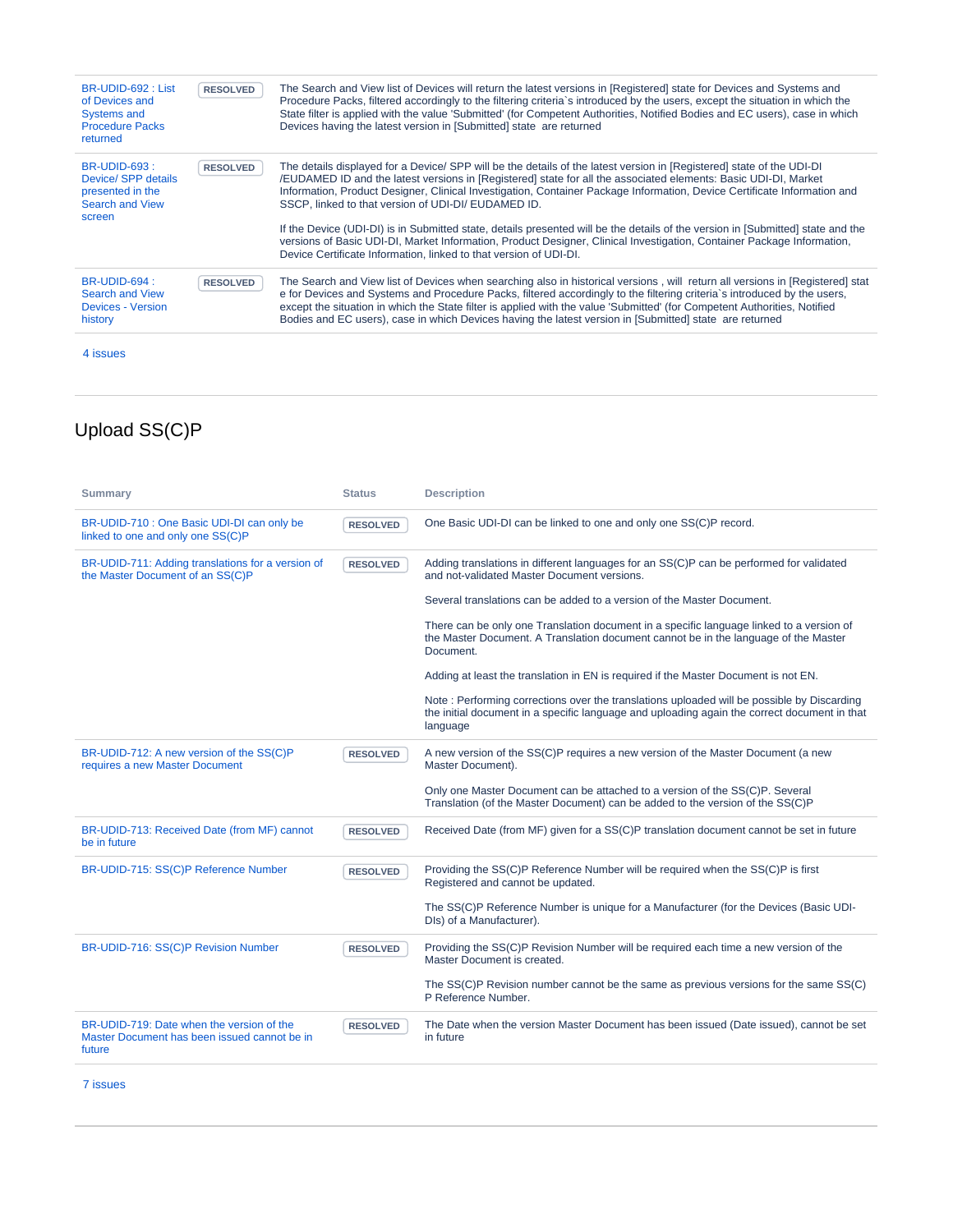| BR-UDID-692 : List<br>of Devices and<br><b>Systems and</b><br><b>Procedure Packs</b><br>returned   | <b>RESOLVED</b> | The Search and View list of Devices will return the latest versions in [Registered] state for Devices and Systems and<br>Procedure Packs, filtered accordingly to the filtering criteria's introduced by the users, except the situation in which the<br>State filter is applied with the value 'Submitted' (for Competent Authorities, Notified Bodies and EC users), case in which<br>Devices having the latest version in [Submitted] state are returned                                       |
|----------------------------------------------------------------------------------------------------|-----------------|---------------------------------------------------------------------------------------------------------------------------------------------------------------------------------------------------------------------------------------------------------------------------------------------------------------------------------------------------------------------------------------------------------------------------------------------------------------------------------------------------|
| <b>BR-UDID-693:</b><br>Device/ SPP details<br>presented in the<br><b>Search and View</b><br>screen | <b>RESOLVED</b> | The details displayed for a Device/ SPP will be the details of the latest version in [Registered] state of the UDI-DI<br>/EUDAMED ID and the latest versions in [Registered] state for all the associated elements: Basic UDI-DI, Market<br>Information, Product Designer, Clinical Investigation, Container Package Information, Device Certificate Information and<br>SSCP, linked to that version of UDI-DI/ EUDAMED ID.                                                                       |
|                                                                                                    |                 | If the Device (UDI-DI) is in Submitted state, details presented will be the details of the version in [Submitted] state and the<br>versions of Basic UDI-DI, Market Information, Product Designer, Clinical Investigation, Container Package Information,<br>Device Certificate Information, linked to that version of UDI-DI.                                                                                                                                                                    |
| <b>BR-UDID-694:</b><br><b>Search and View</b><br><b>Devices - Version</b><br>history               | <b>RESOLVED</b> | The Search and View list of Devices when searching also in historical versions, will return all versions in [Registered] stat<br>e for Devices and Systems and Procedure Packs, filtered accordingly to the filtering criteria's introduced by the users,<br>except the situation in which the State filter is applied with the value 'Submitted' (for Competent Authorities, Notified<br>Bodies and EC users), case in which Devices having the latest version in [Submitted] state are returned |

## Upload SS(C)P

| <b>Summary</b>                                                                                      | <b>Status</b>   | <b>Description</b>                                                                                                                                                                                     |
|-----------------------------------------------------------------------------------------------------|-----------------|--------------------------------------------------------------------------------------------------------------------------------------------------------------------------------------------------------|
| BR-UDID-710 : One Basic UDI-DI can only be<br>linked to one and only one SS(C)P                     | <b>RESOLVED</b> | One Basic UDI-DI can be linked to one and only one SS(C)P record.                                                                                                                                      |
| BR-UDID-711: Adding translations for a version of<br>the Master Document of an SS(C)P               | <b>RESOLVED</b> | Adding translations in different languages for an SS(C)P can be performed for validated<br>and not-validated Master Document versions.                                                                 |
|                                                                                                     |                 | Several translations can be added to a version of the Master Document.                                                                                                                                 |
|                                                                                                     |                 | There can be only one Translation document in a specific language linked to a version of<br>the Master Document. A Translation document cannot be in the language of the Master<br>Document.           |
|                                                                                                     |                 | Adding at least the translation in EN is required if the Master Document is not EN.                                                                                                                    |
|                                                                                                     |                 | Note: Performing corrections over the translations uploaded will be possible by Discarding<br>the initial document in a specific language and uploading again the correct document in that<br>language |
| BR-UDID-712: A new version of the SS(C)P<br>requires a new Master Document                          | <b>RESOLVED</b> | A new version of the SS(C)P requires a new version of the Master Document (a new<br>Master Document).                                                                                                  |
|                                                                                                     |                 | Only one Master Document can be attached to a version of the SS(C)P. Several<br>Translation (of the Master Document) can be added to the version of the SS(C)P                                         |
| BR-UDID-713: Received Date (from MF) cannot<br>be in future                                         | <b>RESOLVED</b> | Received Date (from MF) given for a SS(C)P translation document cannot be set in future                                                                                                                |
| BR-UDID-715: SS(C)P Reference Number                                                                | <b>RESOLVED</b> | Providing the SS(C)P Reference Number will be required when the SS(C)P is first<br>Registered and cannot be updated.                                                                                   |
|                                                                                                     |                 | The SS(C)P Reference Number is unique for a Manufacturer (for the Devices (Basic UDI-<br>DIs) of a Manufacturer).                                                                                      |
| BR-UDID-716: SS(C)P Revision Number                                                                 | <b>RESOLVED</b> | Providing the SS(C)P Revision Number will be required each time a new version of the<br>Master Document is created.                                                                                    |
|                                                                                                     |                 | The SS(C)P Revision number cannot be the same as previous versions for the same SS(C)<br>P Reference Number.                                                                                           |
| BR-UDID-719: Date when the version of the<br>Master Document has been issued cannot be in<br>future | <b>RESOLVED</b> | The Date when the version Master Document has been issued (Date issued), cannot be set<br>in future                                                                                                    |

[7 issues](https://citnet.tech.ec.europa.eu/CITnet/jira/secure/IssueNavigator.jspa?reset=true&jqlQuery=project+%3D+EUDAMEDMDR+AND+component+%3D+UDI+AND+labels+%3D+BR+AND+labels+%3D+Upload_SSCP+AND+status+in+%28Resolved%29+ORDER+BY+summary+ASC%2C+key+ASC+++&src=confmacro)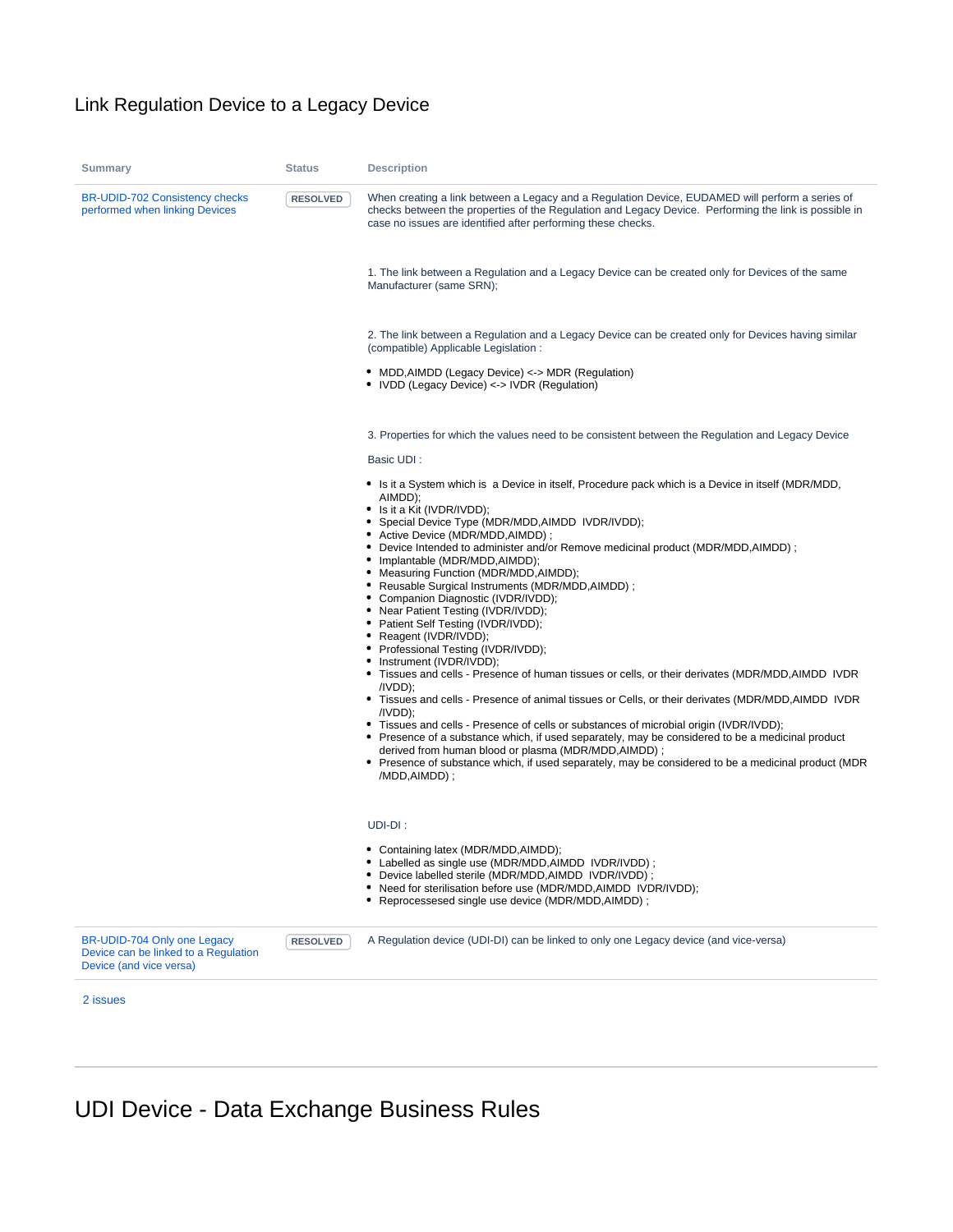#### Link Regulation Device to a Legacy Device

| <b>Summary</b>                                                                                 | <b>Status</b>   | <b>Description</b>                                                                                                                                                                                                                                                                                                                                                                                                                                                                                                                                                                                                                                                                                                                                                                                                                                                                                                                                                                                                                                                                                                                                                                                                                                                                            |
|------------------------------------------------------------------------------------------------|-----------------|-----------------------------------------------------------------------------------------------------------------------------------------------------------------------------------------------------------------------------------------------------------------------------------------------------------------------------------------------------------------------------------------------------------------------------------------------------------------------------------------------------------------------------------------------------------------------------------------------------------------------------------------------------------------------------------------------------------------------------------------------------------------------------------------------------------------------------------------------------------------------------------------------------------------------------------------------------------------------------------------------------------------------------------------------------------------------------------------------------------------------------------------------------------------------------------------------------------------------------------------------------------------------------------------------|
| <b>BR-UDID-702 Consistency checks</b><br>performed when linking Devices                        | <b>RESOLVED</b> | When creating a link between a Legacy and a Regulation Device, EUDAMED will perform a series of<br>checks between the properties of the Regulation and Legacy Device. Performing the link is possible in<br>case no issues are identified after performing these checks.                                                                                                                                                                                                                                                                                                                                                                                                                                                                                                                                                                                                                                                                                                                                                                                                                                                                                                                                                                                                                      |
|                                                                                                |                 | 1. The link between a Regulation and a Legacy Device can be created only for Devices of the same<br>Manufacturer (same SRN);                                                                                                                                                                                                                                                                                                                                                                                                                                                                                                                                                                                                                                                                                                                                                                                                                                                                                                                                                                                                                                                                                                                                                                  |
|                                                                                                |                 | 2. The link between a Regulation and a Legacy Device can be created only for Devices having similar<br>(compatible) Applicable Legislation:                                                                                                                                                                                                                                                                                                                                                                                                                                                                                                                                                                                                                                                                                                                                                                                                                                                                                                                                                                                                                                                                                                                                                   |
|                                                                                                |                 | • MDD, AIMDD (Legacy Device) <-> MDR (Regulation)<br>• IVDD (Legacy Device) <-> IVDR (Regulation)                                                                                                                                                                                                                                                                                                                                                                                                                                                                                                                                                                                                                                                                                                                                                                                                                                                                                                                                                                                                                                                                                                                                                                                             |
|                                                                                                |                 | 3. Properties for which the values need to be consistent between the Regulation and Legacy Device<br>Basic UDI:                                                                                                                                                                                                                                                                                                                                                                                                                                                                                                                                                                                                                                                                                                                                                                                                                                                                                                                                                                                                                                                                                                                                                                               |
|                                                                                                |                 | • Is it a System which is a Device in itself, Procedure pack which is a Device in itself (MDR/MDD,<br>AIMDD):<br>• Is it a Kit (IVDR/IVDD);<br>• Special Device Type (MDR/MDD, AIMDD IVDR/IVDD);<br>• Active Device (MDR/MDD, AIMDD);<br>• Device Intended to administer and/or Remove medicinal product (MDR/MDD, AIMDD);<br>• Implantable (MDR/MDD, AIMDD);<br>• Measuring Function (MDR/MDD, AIMDD);<br>• Reusable Surgical Instruments (MDR/MDD, AIMDD);<br>• Companion Diagnostic (IVDR/IVDD);<br>• Near Patient Testing (IVDR/IVDD);<br>• Patient Self Testing (IVDR/IVDD);<br>• Reagent (IVDR/IVDD);<br>• Professional Testing (IVDR/IVDD);<br>• Instrument (IVDR/IVDD);<br>• Tissues and cells - Presence of human tissues or cells, or their derivates (MDR/MDD, AIMDD IVDR<br>/IVDD);<br>• Tissues and cells - Presence of animal tissues or Cells, or their derivates (MDR/MDD, AIMDD IVDR<br>/IVDD);<br>• Tissues and cells - Presence of cells or substances of microbial origin (IVDR/IVDD);<br>• Presence of a substance which, if used separately, may be considered to be a medicinal product<br>derived from human blood or plasma (MDR/MDD, AIMDD);<br>• Presence of substance which, if used separately, may be considered to be a medicinal product (MDR<br>/MDD,AIMDD); |
|                                                                                                |                 | UDI-DI:<br>• Containing latex (MDR/MDD, AIMDD);<br>• Labelled as single use (MDR/MDD, AIMDD IVDR/IVDD);<br>• Device labelled sterile (MDR/MDD, AIMDD IVDR/IVDD);                                                                                                                                                                                                                                                                                                                                                                                                                                                                                                                                                                                                                                                                                                                                                                                                                                                                                                                                                                                                                                                                                                                              |
|                                                                                                |                 | • Need for sterilisation before use (MDR/MDD, AIMDD IVDR/IVDD);<br>• Reprocessesed single use device (MDR/MDD, AIMDD);                                                                                                                                                                                                                                                                                                                                                                                                                                                                                                                                                                                                                                                                                                                                                                                                                                                                                                                                                                                                                                                                                                                                                                        |
| BR-UDID-704 Only one Legacy<br>Device can be linked to a Regulation<br>Device (and vice versa) | <b>RESOLVED</b> | A Regulation device (UDI-DI) can be linked to only one Legacy device (and vice-versa)                                                                                                                                                                                                                                                                                                                                                                                                                                                                                                                                                                                                                                                                                                                                                                                                                                                                                                                                                                                                                                                                                                                                                                                                         |
| 2 issues                                                                                       |                 |                                                                                                                                                                                                                                                                                                                                                                                                                                                                                                                                                                                                                                                                                                                                                                                                                                                                                                                                                                                                                                                                                                                                                                                                                                                                                               |

# UDI Device - Data Exchange Business Rules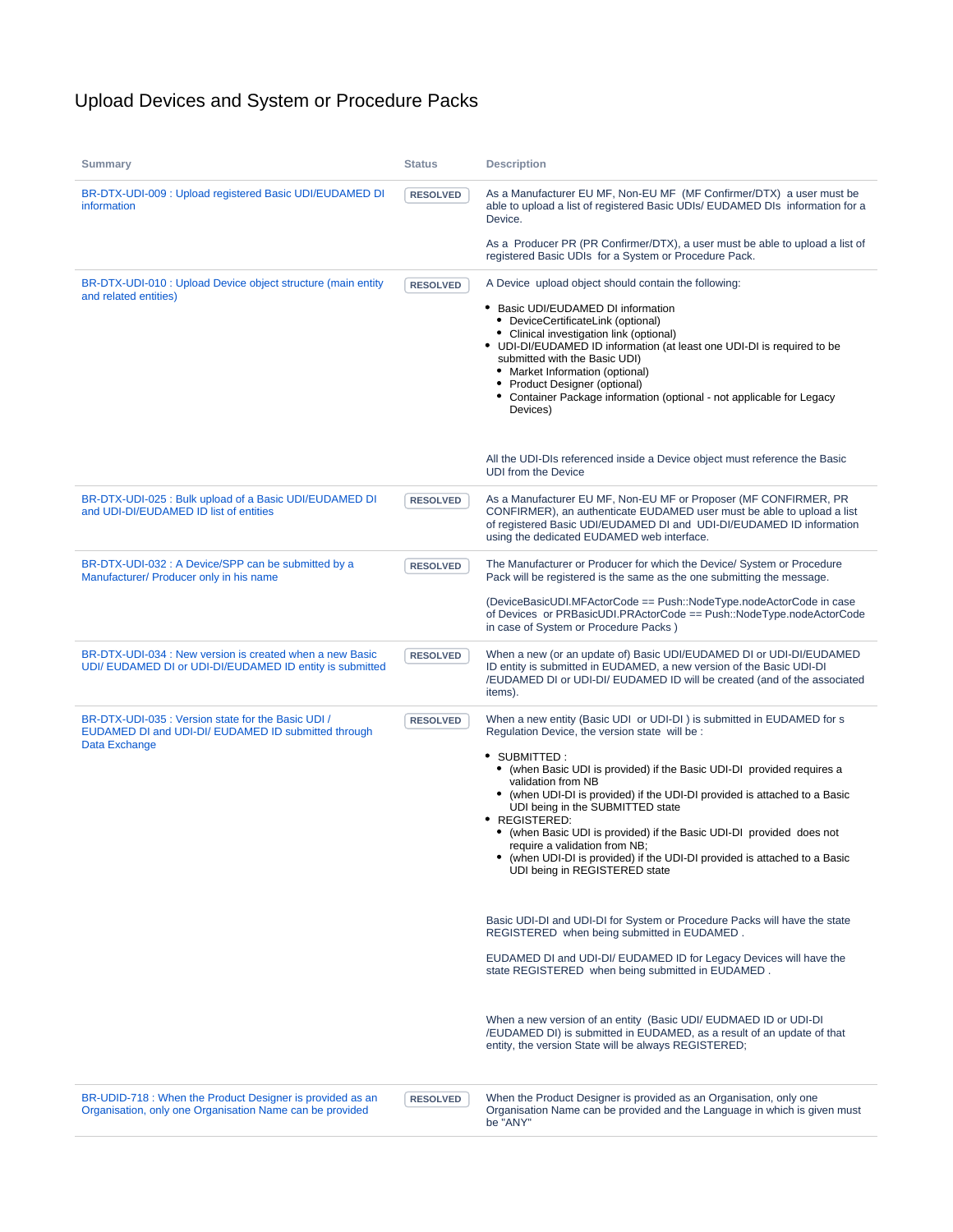## Upload Devices and System or Procedure Packs

| <b>Summary</b>                                                                                                             | <b>Status</b>   | <b>Description</b>                                                                                                                                                                                                                                                                                                                                                                                                                                                                                                                                                                                                                                                                                                                                                                                                                                                                                                                                                                                                                                          |
|----------------------------------------------------------------------------------------------------------------------------|-----------------|-------------------------------------------------------------------------------------------------------------------------------------------------------------------------------------------------------------------------------------------------------------------------------------------------------------------------------------------------------------------------------------------------------------------------------------------------------------------------------------------------------------------------------------------------------------------------------------------------------------------------------------------------------------------------------------------------------------------------------------------------------------------------------------------------------------------------------------------------------------------------------------------------------------------------------------------------------------------------------------------------------------------------------------------------------------|
| BR-DTX-UDI-009 : Upload registered Basic UDI/EUDAMED DI<br>information                                                     | <b>RESOLVED</b> | As a Manufacturer EU MF, Non-EU MF (MF Confirmer/DTX) a user must be<br>able to upload a list of registered Basic UDIs/ EUDAMED DIs information for a<br>Device.                                                                                                                                                                                                                                                                                                                                                                                                                                                                                                                                                                                                                                                                                                                                                                                                                                                                                            |
|                                                                                                                            |                 | As a Producer PR (PR Confirmer/DTX), a user must be able to upload a list of<br>registered Basic UDIs for a System or Procedure Pack.                                                                                                                                                                                                                                                                                                                                                                                                                                                                                                                                                                                                                                                                                                                                                                                                                                                                                                                       |
| BR-DTX-UDI-010 : Upload Device object structure (main entity<br>and related entities)                                      | <b>RESOLVED</b> | A Device upload object should contain the following:<br>• Basic UDI/EUDAMED DI information<br>• DeviceCertificateLink (optional)<br>• Clinical investigation link (optional)<br>• UDI-DI/EUDAMED ID information (at least one UDI-DI is required to be<br>submitted with the Basic UDI)<br>• Market Information (optional)<br>Product Designer (optional)<br>• Container Package information (optional - not applicable for Legacy<br>Devices)                                                                                                                                                                                                                                                                                                                                                                                                                                                                                                                                                                                                              |
|                                                                                                                            |                 | All the UDI-DIs referenced inside a Device object must reference the Basic<br><b>UDI from the Device</b>                                                                                                                                                                                                                                                                                                                                                                                                                                                                                                                                                                                                                                                                                                                                                                                                                                                                                                                                                    |
| BR-DTX-UDI-025 : Bulk upload of a Basic UDI/EUDAMED DI<br>and UDI-DI/EUDAMED ID list of entities                           | <b>RESOLVED</b> | As a Manufacturer EU MF, Non-EU MF or Proposer (MF CONFIRMER, PR<br>CONFIRMER), an authenticate EUDAMED user must be able to upload a list<br>of registered Basic UDI/EUDAMED DI and UDI-DI/EUDAMED ID information<br>using the dedicated EUDAMED web interface.                                                                                                                                                                                                                                                                                                                                                                                                                                                                                                                                                                                                                                                                                                                                                                                            |
| BR-DTX-UDI-032 : A Device/SPP can be submitted by a<br>Manufacturer/ Producer only in his name                             | <b>RESOLVED</b> | The Manufacturer or Producer for which the Device/ System or Procedure<br>Pack will be registered is the same as the one submitting the message.                                                                                                                                                                                                                                                                                                                                                                                                                                                                                                                                                                                                                                                                                                                                                                                                                                                                                                            |
|                                                                                                                            |                 | (DeviceBasicUDI.MFActorCode == Push::NodeType.nodeActorCode in case<br>of Devices or PRBasicUDI.PRActorCode == Push::NodeType.nodeActorCode<br>in case of System or Procedure Packs)                                                                                                                                                                                                                                                                                                                                                                                                                                                                                                                                                                                                                                                                                                                                                                                                                                                                        |
| BR-DTX-UDI-034 : New version is created when a new Basic<br>UDI/ EUDAMED DI or UDI-DI/EUDAMED ID entity is submitted       | <b>RESOLVED</b> | When a new (or an update of) Basic UDI/EUDAMED DI or UDI-DI/EUDAMED<br>ID entity is submitted in EUDAMED, a new version of the Basic UDI-DI<br>/EUDAMED DI or UDI-DI/ EUDAMED ID will be created (and of the associated<br>items).                                                                                                                                                                                                                                                                                                                                                                                                                                                                                                                                                                                                                                                                                                                                                                                                                          |
| BR-DTX-UDI-035 : Version state for the Basic UDI /<br>EUDAMED DI and UDI-DI/ EUDAMED ID submitted through<br>Data Exchange | <b>RESOLVED</b> | When a new entity (Basic UDI or UDI-DI) is submitted in EUDAMED for s<br>Regulation Device, the version state will be :<br>• SUBMITTED:<br>• (when Basic UDI is provided) if the Basic UDI-DI provided requires a<br>validation from NB<br>• (when UDI-DI is provided) if the UDI-DI provided is attached to a Basic<br>UDI being in the SUBMITTED state<br>• REGISTERED:<br>• (when Basic UDI is provided) if the Basic UDI-DI provided does not<br>require a validation from NB;<br>(when UDI-DI is provided) if the UDI-DI provided is attached to a Basic<br>UDI being in REGISTERED state<br>Basic UDI-DI and UDI-DI for System or Procedure Packs will have the state<br>REGISTERED when being submitted in EUDAMED.<br>EUDAMED DI and UDI-DI/ EUDAMED ID for Legacy Devices will have the<br>state REGISTERED when being submitted in EUDAMED.<br>When a new version of an entity (Basic UDI/ EUDMAED ID or UDI-DI<br>/EUDAMED DI) is submitted in EUDAMED, as a result of an update of that<br>entity, the version State will be always REGISTERED; |
| BR-UDID-718 : When the Product Designer is provided as an<br>Organisation, only one Organisation Name can be provided      | <b>RESOLVED</b> | When the Product Designer is provided as an Organisation, only one<br>Organisation Name can be provided and the Language in which is given must<br>be "ANY"                                                                                                                                                                                                                                                                                                                                                                                                                                                                                                                                                                                                                                                                                                                                                                                                                                                                                                 |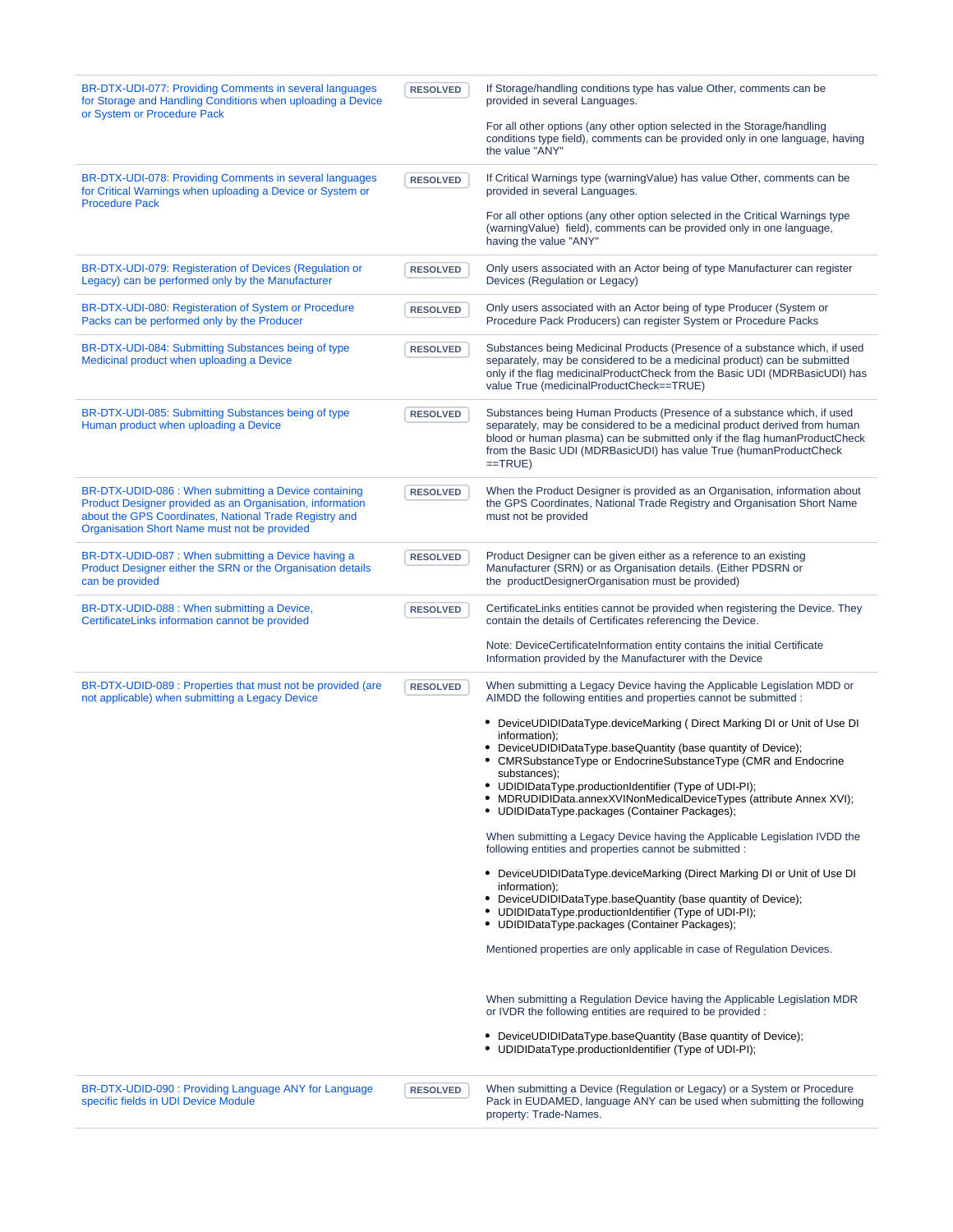| BR-DTX-UDI-077: Providing Comments in several languages<br>for Storage and Handling Conditions when uploading a Device<br>or System or Procedure Pack                                                                        | <b>RESOLVED</b> | If Storage/handling conditions type has value Other, comments can be<br>provided in several Languages.<br>For all other options (any other option selected in the Storage/handling<br>conditions type field), comments can be provided only in one language, having<br>the value "ANY"                                 |
|------------------------------------------------------------------------------------------------------------------------------------------------------------------------------------------------------------------------------|-----------------|------------------------------------------------------------------------------------------------------------------------------------------------------------------------------------------------------------------------------------------------------------------------------------------------------------------------|
| BR-DTX-UDI-078: Providing Comments in several languages<br>for Critical Warnings when uploading a Device or System or<br><b>Procedure Pack</b>                                                                               | <b>RESOLVED</b> | If Critical Warnings type (warning Value) has value Other, comments can be<br>provided in several Languages.                                                                                                                                                                                                           |
|                                                                                                                                                                                                                              |                 | For all other options (any other option selected in the Critical Warnings type<br>(warning Value) field), comments can be provided only in one language,<br>having the value "ANY"                                                                                                                                     |
| BR-DTX-UDI-079: Registeration of Devices (Regulation or<br>Legacy) can be performed only by the Manufacturer                                                                                                                 | <b>RESOLVED</b> | Only users associated with an Actor being of type Manufacturer can register<br>Devices (Regulation or Legacy)                                                                                                                                                                                                          |
| BR-DTX-UDI-080: Registeration of System or Procedure<br>Packs can be performed only by the Producer                                                                                                                          | <b>RESOLVED</b> | Only users associated with an Actor being of type Producer (System or<br>Procedure Pack Producers) can register System or Procedure Packs                                                                                                                                                                              |
| BR-DTX-UDI-084: Submitting Substances being of type<br>Medicinal product when uploading a Device                                                                                                                             | <b>RESOLVED</b> | Substances being Medicinal Products (Presence of a substance which, if used<br>separately, may be considered to be a medicinal product) can be submitted<br>only if the flag medicinalProductCheck from the Basic UDI (MDRBasicUDI) has<br>value True (medicinalProductCheck==TRUE)                                    |
| BR-DTX-UDI-085: Submitting Substances being of type<br>Human product when uploading a Device                                                                                                                                 | <b>RESOLVED</b> | Substances being Human Products (Presence of a substance which, if used<br>separately, may be considered to be a medicinal product derived from human<br>blood or human plasma) can be submitted only if the flag humanProductCheck<br>from the Basic UDI (MDRBasicUDI) has value True (humanProductCheck<br>$=$ TRUE) |
| BR-DTX-UDID-086 : When submitting a Device containing<br>Product Designer provided as an Organisation, information<br>about the GPS Coordinates, National Trade Registry and<br>Organisation Short Name must not be provided | <b>RESOLVED</b> | When the Product Designer is provided as an Organisation, information about<br>the GPS Coordinates, National Trade Registry and Organisation Short Name<br>must not be provided                                                                                                                                        |
| BR-DTX-UDID-087 : When submitting a Device having a<br>Product Designer either the SRN or the Organisation details<br>can be provided                                                                                        | <b>RESOLVED</b> | Product Designer can be given either as a reference to an existing<br>Manufacturer (SRN) or as Organisation details. (Either PDSRN or<br>the productDesignerOrganisation must be provided)                                                                                                                             |
| BR-DTX-UDID-088 : When submitting a Device,<br>CertificateLinks information cannot be provided                                                                                                                               | <b>RESOLVED</b> | CertificateLinks entities cannot be provided when registering the Device. They<br>contain the details of Certificates referencing the Device.                                                                                                                                                                          |
|                                                                                                                                                                                                                              |                 | Note: DeviceCertificateInformation entity contains the initial Certificate<br>Information provided by the Manufacturer with the Device                                                                                                                                                                                 |
| BR-DTX-UDID-089 : Properties that must not be provided (are<br>not applicable) when submitting a Legacy Device                                                                                                               | <b>RESOLVED</b> | When submitting a Legacy Device having the Applicable Legislation MDD or<br>AIMDD the following entities and properties cannot be submitted :                                                                                                                                                                          |
|                                                                                                                                                                                                                              |                 | • DeviceUDIDIDataType.deviceMarking ( Direct Marking DI or Unit of Use DI<br>information);<br>• DeviceUDIDIDataType.baseQuantity (base quantity of Device);                                                                                                                                                            |
|                                                                                                                                                                                                                              |                 | CMRSubstanceType or EndocrineSubstanceType (CMR and Endocrine<br>substances);                                                                                                                                                                                                                                          |
|                                                                                                                                                                                                                              |                 | • UDIDIDataType.productionIdentifier (Type of UDI-PI);<br>• MDRUDIDIData.annexXVINonMedicalDeviceTypes (attribute Annex XVI);<br>• UDIDIDataType.packages (Container Packages);                                                                                                                                        |
|                                                                                                                                                                                                                              |                 | When submitting a Legacy Device having the Applicable Legislation IVDD the<br>following entities and properties cannot be submitted :                                                                                                                                                                                  |
|                                                                                                                                                                                                                              |                 | • DeviceUDIDIDataType.deviceMarking (Direct Marking DI or Unit of Use DI<br>information);                                                                                                                                                                                                                              |
|                                                                                                                                                                                                                              |                 | • DeviceUDIDIDataType.baseQuantity (base quantity of Device);<br>• UDIDIDataType.productionIdentifier (Type of UDI-PI);<br>• UDIDIDataType.packages (Container Packages);                                                                                                                                              |
|                                                                                                                                                                                                                              |                 | Mentioned properties are only applicable in case of Regulation Devices.                                                                                                                                                                                                                                                |
|                                                                                                                                                                                                                              |                 | When submitting a Regulation Device having the Applicable Legislation MDR<br>or IVDR the following entities are required to be provided :                                                                                                                                                                              |
|                                                                                                                                                                                                                              |                 | • DeviceUDIDIDataType.baseQuantity (Base quantity of Device);<br>• UDIDIDataType.productionIdentifier (Type of UDI-PI);                                                                                                                                                                                                |
| BR-DTX-UDID-090 : Providing Language ANY for Language<br>specific fields in UDI Device Module                                                                                                                                | <b>RESOLVED</b> | When submitting a Device (Regulation or Legacy) or a System or Procedure<br>Pack in EUDAMED, language ANY can be used when submitting the following<br>property: Trade-Names.                                                                                                                                          |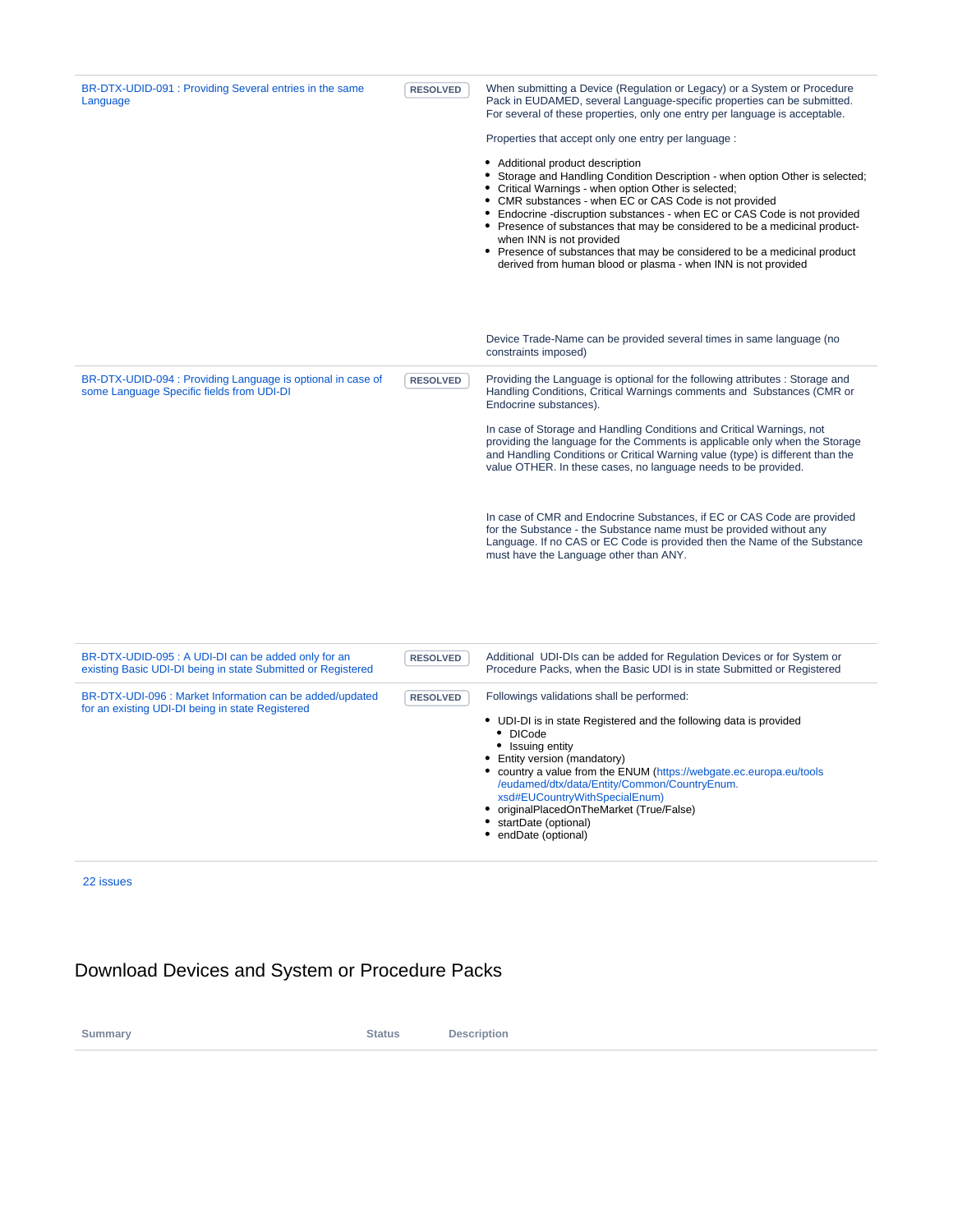| BR-DTX-UDID-091 : Providing Several entries in the same<br>Language                                      | <b>RESOLVED</b> | When submitting a Device (Regulation or Legacy) or a System or Procedure<br>Pack in EUDAMED, several Language-specific properties can be submitted.<br>For several of these properties, only one entry per language is acceptable.<br>Properties that accept only one entry per language :<br>• Additional product description<br>• Storage and Handling Condition Description - when option Other is selected;<br>• Critical Warnings - when option Other is selected;<br>• CMR substances - when EC or CAS Code is not provided<br>• Endocrine -discruption substances - when EC or CAS Code is not provided<br>• Presence of substances that may be considered to be a medicinal product-<br>when INN is not provided<br>• Presence of substances that may be considered to be a medicinal product<br>derived from human blood or plasma - when INN is not provided |
|----------------------------------------------------------------------------------------------------------|-----------------|------------------------------------------------------------------------------------------------------------------------------------------------------------------------------------------------------------------------------------------------------------------------------------------------------------------------------------------------------------------------------------------------------------------------------------------------------------------------------------------------------------------------------------------------------------------------------------------------------------------------------------------------------------------------------------------------------------------------------------------------------------------------------------------------------------------------------------------------------------------------|
|                                                                                                          |                 | Device Trade-Name can be provided several times in same language (no<br>constraints imposed)                                                                                                                                                                                                                                                                                                                                                                                                                                                                                                                                                                                                                                                                                                                                                                           |
| BR-DTX-UDID-094 : Providing Language is optional in case of<br>some Language Specific fields from UDI-DI | <b>RESOLVED</b> | Providing the Language is optional for the following attributes : Storage and<br>Handling Conditions, Critical Warnings comments and Substances (CMR or<br>Endocrine substances).                                                                                                                                                                                                                                                                                                                                                                                                                                                                                                                                                                                                                                                                                      |
|                                                                                                          |                 | In case of Storage and Handling Conditions and Critical Warnings, not<br>providing the language for the Comments is applicable only when the Storage<br>and Handling Conditions or Critical Warning value (type) is different than the<br>value OTHER. In these cases, no language needs to be provided.                                                                                                                                                                                                                                                                                                                                                                                                                                                                                                                                                               |
|                                                                                                          |                 | In case of CMR and Endocrine Substances, if EC or CAS Code are provided<br>for the Substance - the Substance name must be provided without any<br>Language. If no CAS or EC Code is provided then the Name of the Substance<br>must have the Language other than ANY.                                                                                                                                                                                                                                                                                                                                                                                                                                                                                                                                                                                                  |

| BR-DTX-UDID-095 : A UDI-DI can be added only for an<br>existing Basic UDI-DI being in state Submitted or Registered | <b>RESOLVED</b> | Additional UDI-DIs can be added for Regulation Devices or for System or<br>Procedure Packs, when the Basic UDI is in state Submitted or Registered                                                                                                                                                                                                                                                                                             |
|---------------------------------------------------------------------------------------------------------------------|-----------------|------------------------------------------------------------------------------------------------------------------------------------------------------------------------------------------------------------------------------------------------------------------------------------------------------------------------------------------------------------------------------------------------------------------------------------------------|
| BR-DTX-UDI-096 : Market Information can be added/updated<br>for an existing UDI-DI being in state Registered        | <b>RESOLVED</b> | Followings validations shall be performed:<br>• UDI-DI is in state Registered and the following data is provided<br>$\bullet$ DICode<br>• Issuing entity<br>• Entity version (mandatory)<br>• country a value from the ENUM (https://webgate.ec.europa.eu/tools<br>/eudamed/dtx/data/Entity/Common/CountryEnum.<br>xsd#EUCountryWithSpecialEnum)<br>• originalPlacedOnTheMarket (True/False)<br>• startDate (optional)<br>• endDate (optional) |

## Download Devices and System or Procedure Packs

**Summary Status Description**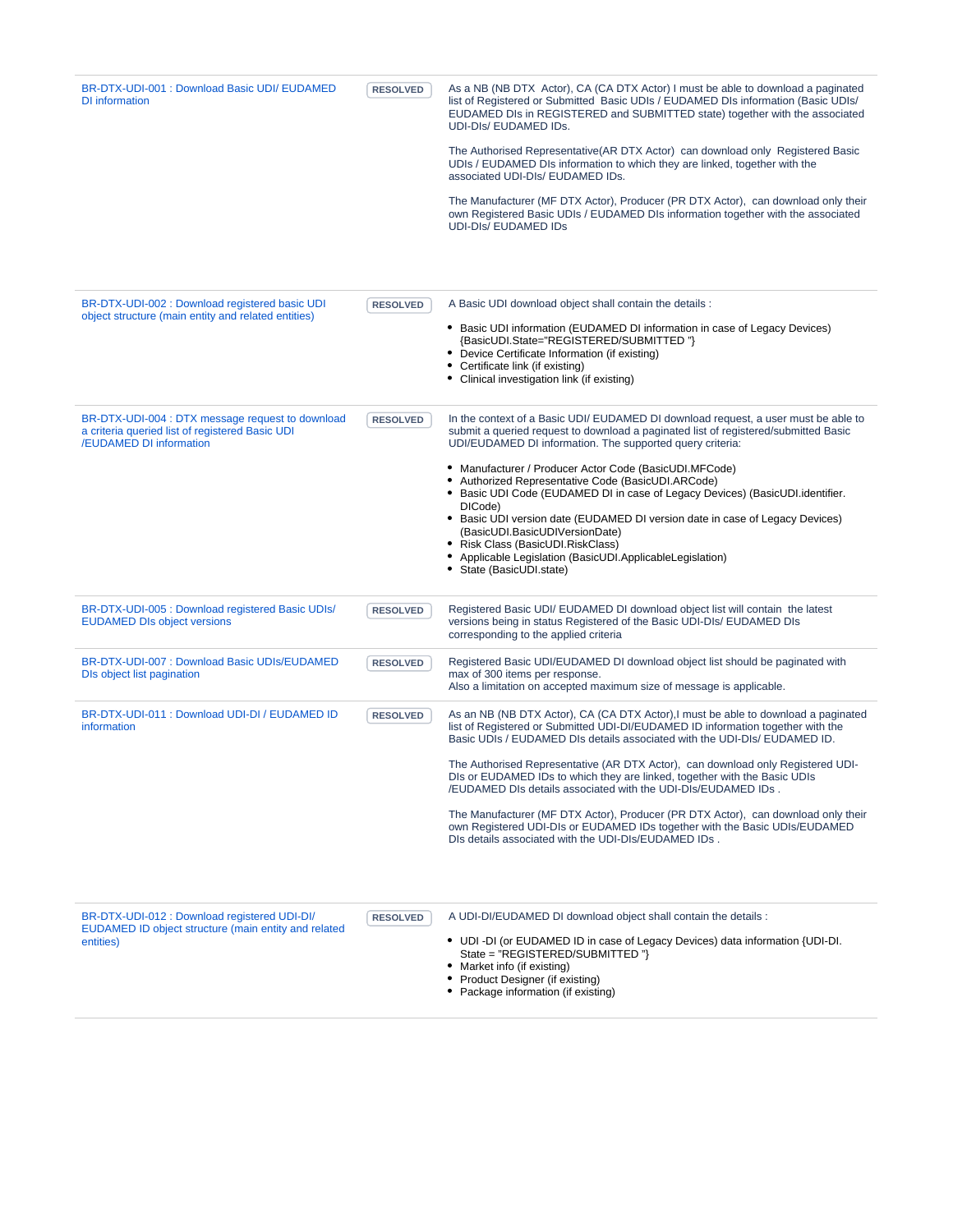| BR-DTX-UDI-001 : Download Basic UDI/ EUDAMED<br>DI information | <b>RESOLVED</b> | As a NB (NB DTX Actor), CA (CA DTX Actor) I must be able to download a paginated<br>list of Registered or Submitted Basic UDIs / EUDAMED DIs information (Basic UDIs/<br>EUDAMED DIs in REGISTERED and SUBMITTED state) together with the associated<br>UDI-DIS/EUDAMED IDS. |
|----------------------------------------------------------------|-----------------|------------------------------------------------------------------------------------------------------------------------------------------------------------------------------------------------------------------------------------------------------------------------------|
|                                                                |                 | The Authorised Representative (AR DTX Actor) can download only Registered Basic<br>UDIs / EUDAMED DIs information to which they are linked, together with the<br>associated UDI-DIs/ EUDAMED IDs.                                                                            |
|                                                                |                 | The Manufacturer (MF DTX Actor), Producer (PR DTX Actor), can download only their<br>own Registered Basic UDIs / EUDAMED DIs information together with the associated<br>UDI-DIS/EUDAMED IDS                                                                                 |

| BR-DTX-UDI-002 : Download registered basic UDI<br>object structure (main entity and related entities)                          | <b>RESOLVED</b> | A Basic UDI download object shall contain the details :<br>• Basic UDI information (EUDAMED DI information in case of Legacy Devices)<br>{BasicUDI.State="REGISTERED/SUBMITTED"}<br>Device Certificate Information (if existing)<br>• Certificate link (if existing)<br>• Clinical investigation link (if existing)                                                                                                                                                                                                                                                                                                                                                                                            |
|--------------------------------------------------------------------------------------------------------------------------------|-----------------|----------------------------------------------------------------------------------------------------------------------------------------------------------------------------------------------------------------------------------------------------------------------------------------------------------------------------------------------------------------------------------------------------------------------------------------------------------------------------------------------------------------------------------------------------------------------------------------------------------------------------------------------------------------------------------------------------------------|
| BR-DTX-UDI-004 : DTX message request to download<br>a criteria queried list of registered Basic UDI<br>/EUDAMED DI information | <b>RESOLVED</b> | In the context of a Basic UDI/ EUDAMED DI download request, a user must be able to<br>submit a queried request to download a paginated list of registered/submitted Basic<br>UDI/EUDAMED DI information. The supported query criteria:<br>• Manufacturer / Producer Actor Code (BasicUDI.MFCode)<br>Authorized Representative Code (BasicUDI.ARCode)<br>• Basic UDI Code (EUDAMED DI in case of Legacy Devices) (BasicUDI identifier.<br>DICode)<br>• Basic UDI version date (EUDAMED DI version date in case of Legacy Devices)<br>(BasicUDI.BasicUDIVersionDate)<br>• Risk Class (BasicUDI.RiskClass)<br>Applicable Legislation (BasicUDI.ApplicableLegislation)<br>• State (BasicUDI.state)                 |
| BR-DTX-UDI-005 : Download registered Basic UDIs/<br><b>EUDAMED DIs object versions</b>                                         | <b>RESOLVED</b> | Registered Basic UDI/ EUDAMED DI download object list will contain the latest<br>versions being in status Registered of the Basic UDI-DIs/ EUDAMED DIs<br>corresponding to the applied criteria                                                                                                                                                                                                                                                                                                                                                                                                                                                                                                                |
| BR-DTX-UDI-007 : Download Basic UDIs/EUDAMED<br>DIs object list pagination                                                     | <b>RESOLVED</b> | Registered Basic UDI/EUDAMED DI download object list should be paginated with<br>max of 300 items per response.<br>Also a limitation on accepted maximum size of message is applicable.                                                                                                                                                                                                                                                                                                                                                                                                                                                                                                                        |
| BR-DTX-UDI-011 : Download UDI-DI / EUDAMED ID<br>information                                                                   | <b>RESOLVED</b> | As an NB (NB DTX Actor), CA (CA DTX Actor), I must be able to download a paginated<br>list of Registered or Submitted UDI-DI/EUDAMED ID information together with the<br>Basic UDIs / EUDAMED DIs details associated with the UDI-DIs/ EUDAMED ID.<br>The Authorised Representative (AR DTX Actor), can download only Registered UDI-<br>DIs or EUDAMED IDs to which they are linked, together with the Basic UDIs<br>/EUDAMED DIs details associated with the UDI-DIs/EUDAMED IDs.<br>The Manufacturer (MF DTX Actor), Producer (PR DTX Actor), can download only their<br>own Registered UDI-DIs or EUDAMED IDs together with the Basic UDIs/EUDAMED<br>DIs details associated with the UDI-DIs/EUDAMED IDs. |
| BR-DTX-UDI-012 : Download registered UDI-DI/<br>EUDAMED ID object structure (main entity and related<br>entities)              | <b>RESOLVED</b> | A UDI-DI/EUDAMED DI download object shall contain the details :<br>• UDI-DI (or EUDAMED ID in case of Legacy Devices) data information {UDI-DI.<br>State = "REGISTERED/SUBMITTED"}<br>• Market info (if existing)                                                                                                                                                                                                                                                                                                                                                                                                                                                                                              |

- Product Designer (if existing)
- Package information (if existing)
-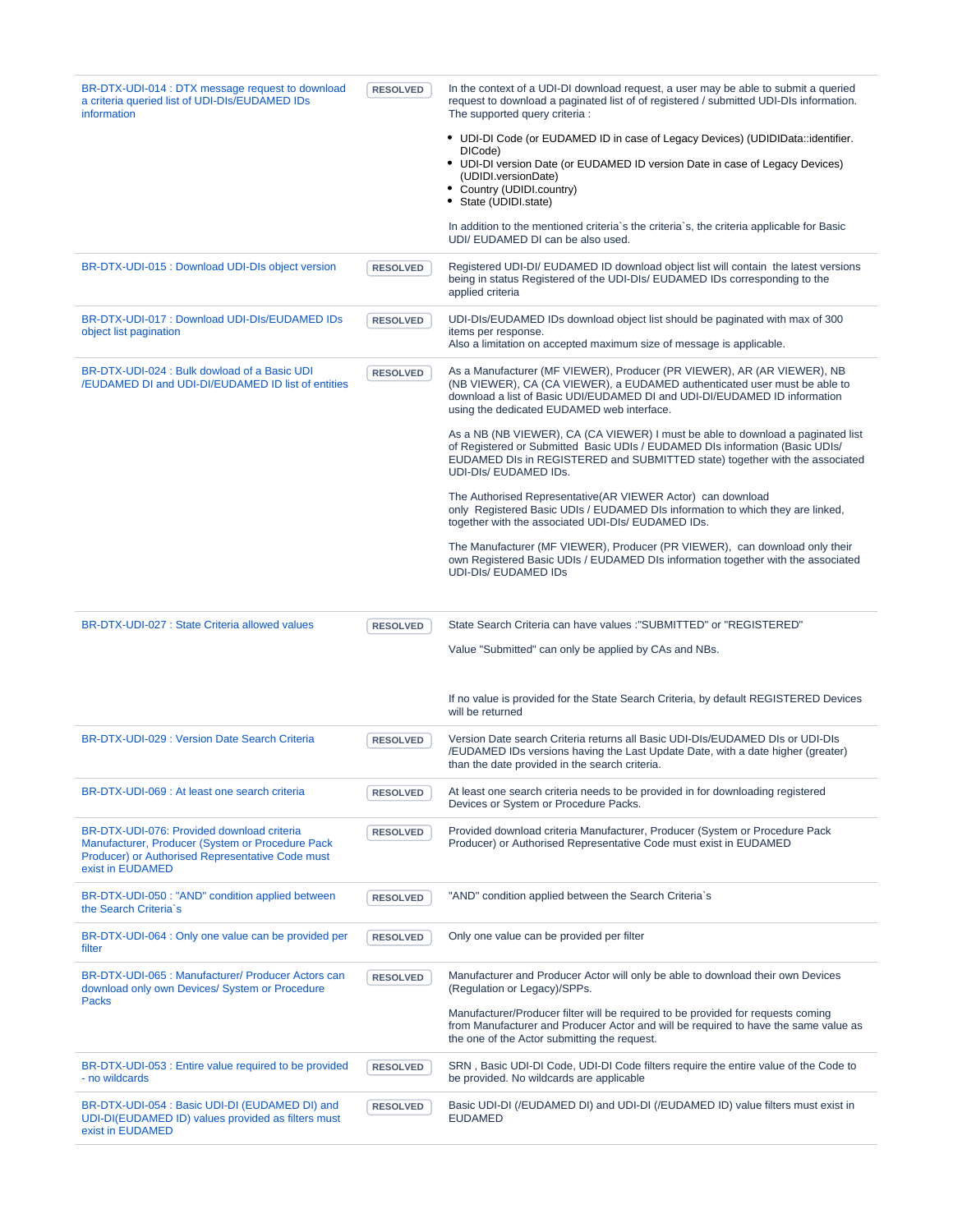| BR-DTX-UDI-014 : DTX message request to download<br>a criteria queried list of UDI-DIs/EUDAMED IDs<br>information                                                       | <b>RESOLVED</b> | In the context of a UDI-DI download request, a user may be able to submit a queried<br>request to download a paginated list of of registered / submitted UDI-DIs information.<br>The supported query criteria :                                                                 |
|-------------------------------------------------------------------------------------------------------------------------------------------------------------------------|-----------------|---------------------------------------------------------------------------------------------------------------------------------------------------------------------------------------------------------------------------------------------------------------------------------|
|                                                                                                                                                                         |                 | • UDI-DI Code (or EUDAMED ID in case of Legacy Devices) (UDIDIData::identifier.<br>DICode)<br>• UDI-DI version Date (or EUDAMED ID version Date in case of Legacy Devices)<br>(UDIDI.versionDate)<br>• Country (UDIDI.country)                                                  |
|                                                                                                                                                                         |                 | • State (UDIDI.state)<br>In addition to the mentioned criteria's the criteria's, the criteria applicable for Basic<br>UDI/ EUDAMED DI can be also used.                                                                                                                         |
| BR-DTX-UDI-015 : Download UDI-DIs object version                                                                                                                        | <b>RESOLVED</b> | Registered UDI-DI/EUDAMED ID download object list will contain the latest versions<br>being in status Registered of the UDI-DIs/ EUDAMED IDs corresponding to the<br>applied criteria                                                                                           |
| BR-DTX-UDI-017 : Download UDI-DIs/EUDAMED IDs<br>object list pagination                                                                                                 | <b>RESOLVED</b> | UDI-DIs/EUDAMED IDs download object list should be paginated with max of 300<br>items per response.<br>Also a limitation on accepted maximum size of message is applicable.                                                                                                     |
| BR-DTX-UDI-024 : Bulk dowload of a Basic UDI<br><b>/EUDAMED DI and UDI-DI/EUDAMED ID list of entities</b>                                                               | <b>RESOLVED</b> | As a Manufacturer (MF VIEWER), Producer (PR VIEWER), AR (AR VIEWER), NB<br>(NB VIEWER), CA (CA VIEWER), a EUDAMED authenticated user must be able to<br>download a list of Basic UDI/EUDAMED DI and UDI-DI/EUDAMED ID information<br>using the dedicated EUDAMED web interface. |
|                                                                                                                                                                         |                 | As a NB (NB VIEWER), CA (CA VIEWER) I must be able to download a paginated list<br>of Registered or Submitted Basic UDIs / EUDAMED DIs information (Basic UDIs/<br>EUDAMED DIs in REGISTERED and SUBMITTED state) together with the associated<br>UDI-DIs/ EUDAMED IDs.         |
|                                                                                                                                                                         |                 | The Authorised Representative (AR VIEWER Actor) can download<br>only Registered Basic UDIs / EUDAMED DIs information to which they are linked,<br>together with the associated UDI-DIs/ EUDAMED IDs.                                                                            |
|                                                                                                                                                                         |                 | The Manufacturer (MF VIEWER), Producer (PR VIEWER), can download only their<br>own Registered Basic UDIs / EUDAMED DIs information together with the associated<br><b>UDI-DIS/ EUDAMED IDS</b>                                                                                  |
|                                                                                                                                                                         |                 |                                                                                                                                                                                                                                                                                 |
| BR-DTX-UDI-027 : State Criteria allowed values                                                                                                                          | <b>RESOLVED</b> | State Search Criteria can have values : "SUBMITTED" or "REGISTERED"                                                                                                                                                                                                             |
|                                                                                                                                                                         |                 | Value "Submitted" can only be applied by CAs and NBs.                                                                                                                                                                                                                           |
|                                                                                                                                                                         |                 | If no value is provided for the State Search Criteria, by default REGISTERED Devices<br>will be returned                                                                                                                                                                        |
| BR-DTX-UDI-029 : Version Date Search Criteria                                                                                                                           | <b>RESOLVED</b> | Version Date search Criteria returns all Basic UDI-DIs/EUDAMED DIs or UDI-DIs<br>/EUDAMED IDs versions having the Last Update Date, with a date higher (greater)<br>than the date provided in the search criteria.                                                              |
| BR-DTX-UDI-069 : At least one search criteria                                                                                                                           | <b>RESOLVED</b> | At least one search criteria needs to be provided in for downloading registered<br>Devices or System or Procedure Packs.                                                                                                                                                        |
| BR-DTX-UDI-076: Provided download criteria<br>Manufacturer, Producer (System or Procedure Pack)<br>Producer) or Authorised Representative Code must<br>exist in EUDAMED | <b>RESOLVED</b> | Provided download criteria Manufacturer, Producer (System or Procedure Pack<br>Producer) or Authorised Representative Code must exist in EUDAMED                                                                                                                                |
| BR-DTX-UDI-050 : "AND" condition applied between<br>the Search Criteria's                                                                                               | <b>RESOLVED</b> | "AND" condition applied between the Search Criteria's                                                                                                                                                                                                                           |
| BR-DTX-UDI-064 : Only one value can be provided per<br>filter                                                                                                           | <b>RESOLVED</b> | Only one value can be provided per filter                                                                                                                                                                                                                                       |
| BR-DTX-UDI-065 : Manufacturer/ Producer Actors can<br>download only own Devices/ System or Procedure<br>Packs                                                           | <b>RESOLVED</b> | Manufacturer and Producer Actor will only be able to download their own Devices<br>(Regulation or Legacy)/SPPs.                                                                                                                                                                 |
|                                                                                                                                                                         |                 | Manufacturer/Producer filter will be required to be provided for requests coming<br>from Manufacturer and Producer Actor and will be required to have the same value as<br>the one of the Actor submitting the request.                                                         |
| BR-DTX-UDI-053 : Entire value required to be provided<br>- no wildcards                                                                                                 | <b>RESOLVED</b> | SRN, Basic UDI-DI Code, UDI-DI Code filters require the entire value of the Code to<br>be provided. No wildcards are applicable                                                                                                                                                 |